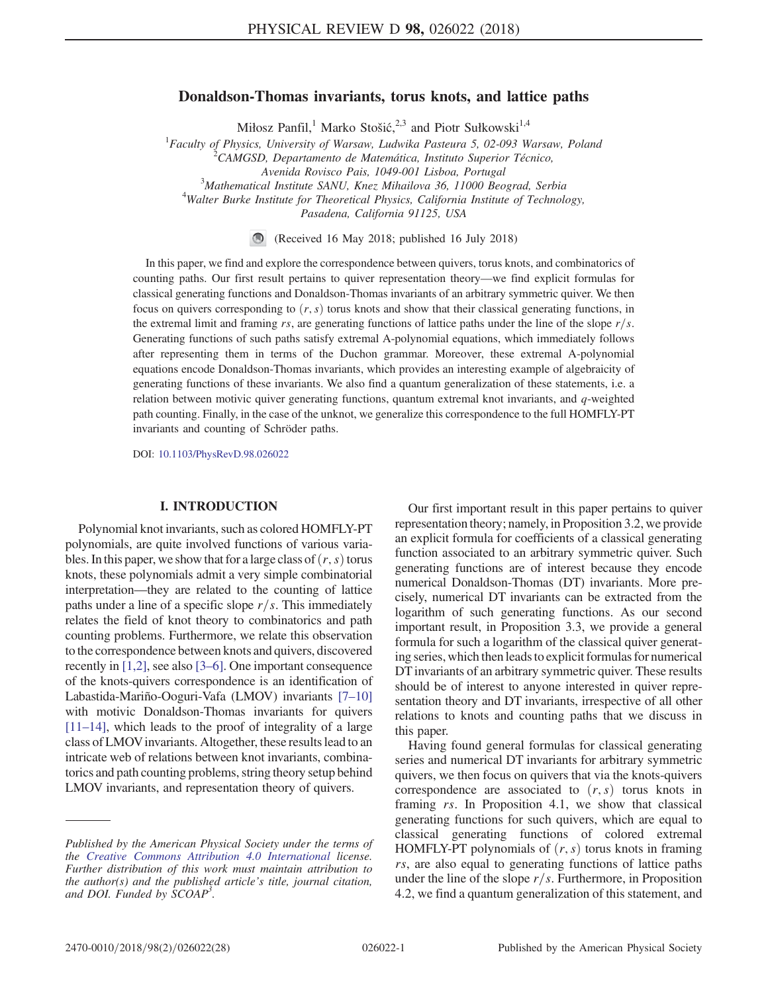# Donaldson-Thomas invariants, torus knots, and lattice paths

Miłosz Panfil,<sup>1</sup> Marko Stošić,<sup>2,3</sup> and Piotr Sułkowski<sup>1,4</sup>

<sup>1</sup> Faculty of Physics, University of Warsaw, Ludwika Pasteura 5, 02-093 Warsaw, Poland <sup>2</sup>CAMCSD, Departments de Mateurática, Institute Superior Támics CAMGSD, Departamento de Matemática, Instituto Superior Técnico,

Avenida Rovisco Pais, 1049-001 Lisboa, Portugal <sup>3</sup>

 $3$ Mathematical Institute SANU, Knez Mihailova 36, 11000 Beograd, Serbia

 $4$ Walter Burke Institute for Theoretical Physics, California Institute of Technology,

Pasadena, California 91125, USA

(Received 16 May 2018; published 16 July 2018)

In this paper, we find and explore the correspondence between quivers, torus knots, and combinatorics of counting paths. Our first result pertains to quiver representation theory—we find explicit formulas for classical generating functions and Donaldson-Thomas invariants of an arbitrary symmetric quiver. We then focus on quivers corresponding to  $(r, s)$  torus knots and show that their classical generating functions, in the extremal limit and framing rs, are generating functions of lattice paths under the line of the slope  $r/s$ . Generating functions of such paths satisfy extremal A-polynomial equations, which immediately follows after representing them in terms of the Duchon grammar. Moreover, these extremal A-polynomial equations encode Donaldson-Thomas invariants, which provides an interesting example of algebraicity of generating functions of these invariants. We also find a quantum generalization of these statements, i.e. a relation between motivic quiver generating functions, quantum extremal knot invariants, and q-weighted path counting. Finally, in the case of the unknot, we generalize this correspondence to the full HOMFLY-PT invariants and counting of Schröder paths.

DOI: [10.1103/PhysRevD.98.026022](https://doi.org/10.1103/PhysRevD.98.026022)

## I. INTRODUCTION

Polynomial knot invariants, such as colored HOMFLY-PT polynomials, are quite involved functions of various variables. In this paper, we show that for a large class of  $(r, s)$  torus knots, these polynomials admit a very simple combinatorial interpretation—they are related to the counting of lattice paths under a line of a specific slope  $r/s$ . This immediately relates the field of knot theory to combinatorics and path counting problems. Furthermore, we relate this observation to the correspondence between knots and quivers, discovered recently in [\[1,2\],](#page-26-0) see also [\[3](#page-26-1)–6]. One important consequence of the knots-quivers correspondence is an identification of Labastida-Mariño-Ooguri-Vafa (LMOV) invariants [7–[10\]](#page-26-2) with motivic Donaldson-Thomas invariants for quivers [11–[14\],](#page-26-3) which leads to the proof of integrality of a large class of LMOVinvariants. Altogether, these results lead to an intricate web of relations between knot invariants, combinatorics and path counting problems, string theory setup behind LMOV invariants, and representation theory of quivers.

Our first important result in this paper pertains to quiver representation theory; namely, in Proposition 3.2, we provide an explicit formula for coefficients of a classical generating function associated to an arbitrary symmetric quiver. Such generating functions are of interest because they encode numerical Donaldson-Thomas (DT) invariants. More precisely, numerical DT invariants can be extracted from the logarithm of such generating functions. As our second important result, in Proposition 3.3, we provide a general formula for such a logarithm of the classical quiver generating series, which then leads to explicit formulas for numerical DT invariants of an arbitrary symmetric quiver. These results should be of interest to anyone interested in quiver representation theory and DT invariants, irrespective of all other relations to knots and counting paths that we discuss in this paper.

Having found general formulas for classical generating series and numerical DT invariants for arbitrary symmetric quivers, we then focus on quivers that via the knots-quivers correspondence are associated to  $(r, s)$  torus knots in framing rs. In Proposition 4.1, we show that classical generating functions for such quivers, which are equal to classical generating functions of colored extremal HOMFLY-PT polynomials of  $(r, s)$  torus knots in framing rs, are also equal to generating functions of lattice paths under the line of the slope  $r/s$ . Furthermore, in Proposition 4.2, we find a quantum generalization of this statement, and

Published by the American Physical Society under the terms of the [Creative Commons Attribution 4.0 International](https://creativecommons.org/licenses/by/4.0/) license. Further distribution of this work must maintain attribution to the author(s) and the published article's title, journal citation, and DOI. Funded by SCOAP<sup>3</sup>.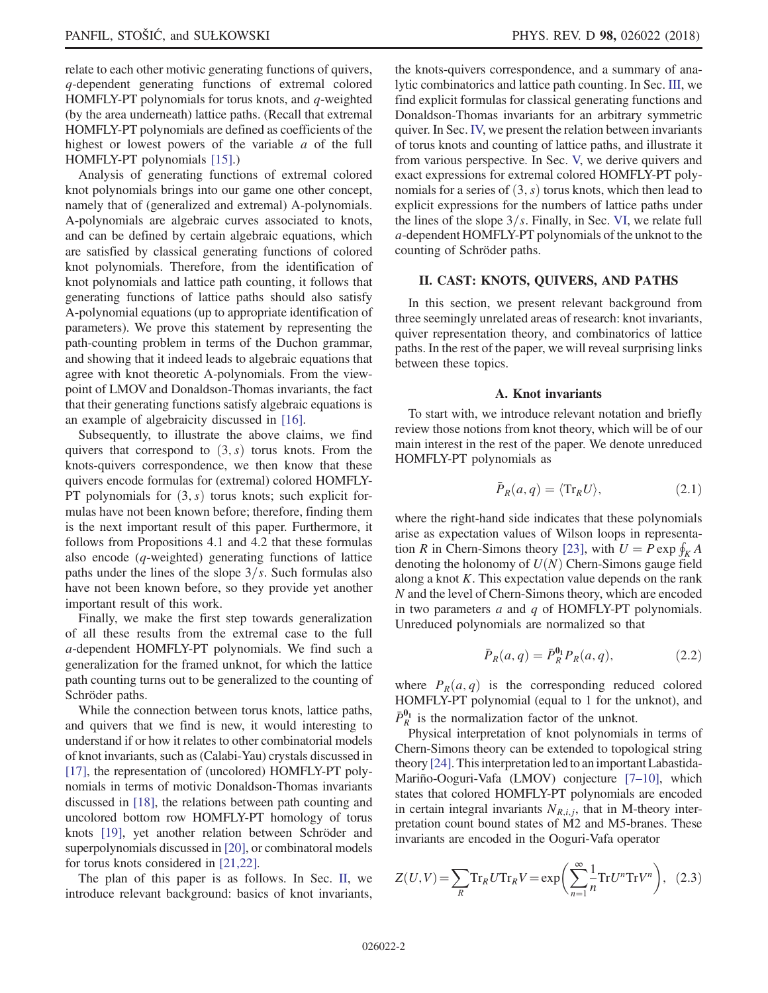relate to each other motivic generating functions of quivers, q-dependent generating functions of extremal colored HOMFLY-PT polynomials for torus knots, and q-weighted (by the area underneath) lattice paths. (Recall that extremal HOMFLY-PT polynomials are defined as coefficients of the highest or lowest powers of the variable  $a$  of the full HOMFLY-PT polynomials [\[15\]](#page-26-4).)

Analysis of generating functions of extremal colored knot polynomials brings into our game one other concept, namely that of (generalized and extremal) A-polynomials. A-polynomials are algebraic curves associated to knots, and can be defined by certain algebraic equations, which are satisfied by classical generating functions of colored knot polynomials. Therefore, from the identification of knot polynomials and lattice path counting, it follows that generating functions of lattice paths should also satisfy A-polynomial equations (up to appropriate identification of parameters). We prove this statement by representing the path-counting problem in terms of the Duchon grammar, and showing that it indeed leads to algebraic equations that agree with knot theoretic A-polynomials. From the viewpoint of LMOV and Donaldson-Thomas invariants, the fact that their generating functions satisfy algebraic equations is an example of algebraicity discussed in [\[16\].](#page-26-5)

Subsequently, to illustrate the above claims, we find quivers that correspond to  $(3, s)$  torus knots. From the knots-quivers correspondence, we then know that these quivers encode formulas for (extremal) colored HOMFLY-PT polynomials for  $(3, s)$  torus knots; such explicit formulas have not been known before; therefore, finding them is the next important result of this paper. Furthermore, it follows from Propositions 4.1 and 4.2 that these formulas also encode (q-weighted) generating functions of lattice paths under the lines of the slope  $3/s$ . Such formulas also have not been known before, so they provide yet another important result of this work.

Finally, we make the first step towards generalization of all these results from the extremal case to the full a-dependent HOMFLY-PT polynomials. We find such a generalization for the framed unknot, for which the lattice path counting turns out to be generalized to the counting of Schröder paths.

While the connection between torus knots, lattice paths, and quivers that we find is new, it would interesting to understand if or how it relates to other combinatorial models of knot invariants, such as (Calabi-Yau) crystals discussed in [\[17\]](#page-26-6), the representation of (uncolored) HOMFLY-PT polynomials in terms of motivic Donaldson-Thomas invariants discussed in [\[18\]](#page-26-7), the relations between path counting and uncolored bottom row HOMFLY-PT homology of torus knots [\[19\]](#page-26-8), yet another relation between Schröder and superpolynomials discussed in [\[20\],](#page-26-9) or combinatoral models for torus knots considered in [\[21,22\].](#page-27-0)

The plan of this paper is as follows. In Sec. [II](#page-1-0), we introduce relevant background: basics of knot invariants, the knots-quivers correspondence, and a summary of analytic combinatorics and lattice path counting. In Sec. [III](#page-7-0), we find explicit formulas for classical generating functions and Donaldson-Thomas invariants for an arbitrary symmetric quiver. In Sec. [IV,](#page-10-0) we present the relation between invariants of torus knots and counting of lattice paths, and illustrate it from various perspective. In Sec. [V,](#page-19-0) we derive quivers and exact expressions for extremal colored HOMFLY-PT polynomials for a series of  $(3, s)$  torus knots, which then lead to explicit expressions for the numbers of lattice paths under the lines of the slope  $3/s$ . Finally, in Sec. [VI](#page-24-0), we relate full a-dependent HOMFLY-PT polynomials of the unknot to the counting of Schröder paths.

## <span id="page-1-0"></span>II. CAST: KNOTS, QUIVERS, AND PATHS

In this section, we present relevant background from three seemingly unrelated areas of research: knot invariants, quiver representation theory, and combinatorics of lattice paths. In the rest of the paper, we will reveal surprising links between these topics.

## A. Knot invariants

To start with, we introduce relevant notation and briefly review those notions from knot theory, which will be of our main interest in the rest of the paper. We denote unreduced HOMFLY-PT polynomials as

$$
\bar{P}_R(a,q) = \langle \text{Tr}_R U \rangle, \tag{2.1}
$$

where the right-hand side indicates that these polynomials arise as expectation values of Wilson loops in representa-tion R in Chern-Simons theory [\[23\],](#page-27-1) with  $U = P \exp \oint_K A$ <br>denoting the holonomy of  $U(N)$  Chern-Simons gauge field denoting the holonomy of  $U(N)$  Chern-Simons gauge field along a knot  $K$ . This expectation value depends on the rank N and the level of Chern-Simons theory, which are encoded in two parameters  $a$  and  $q$  of HOMFLY-PT polynomials. Unreduced polynomials are normalized so that

$$
\bar{P}_R(a,q) = \bar{P}_R^{\mathbf{0}_1} P_R(a,q),\tag{2.2}
$$

where  $P_R(a,q)$  is the corresponding reduced colored HOMFLY-PT polynomial (equal to 1 for the unknot), and  $\bar{P}_R^{0_1}$  is the normalization factor of the unknot.

Physical interpretation of knot polynomials in terms of Chern-Simons theory can be extended to topological string theory [\[24\].](#page-27-2) This interpretation led to an important Labastida-Mariño-Ooguri-Vafa (LMOV) conjecture [7–[10\],](#page-26-2) which states that colored HOMFLY-PT polynomials are encoded in certain integral invariants  $N_{R,i,j}$ , that in M-theory interpretation count bound states of M2 and M5-branes. These invariants are encoded in the Ooguri-Vafa operator

$$
Z(U,V) = \sum_{R} \text{Tr}_{R} U \text{Tr}_{R} V = \exp\left(\sum_{n=1}^{\infty} \frac{1}{n} \text{Tr} U^{n} \text{Tr} V^{n}\right), \tag{2.3}
$$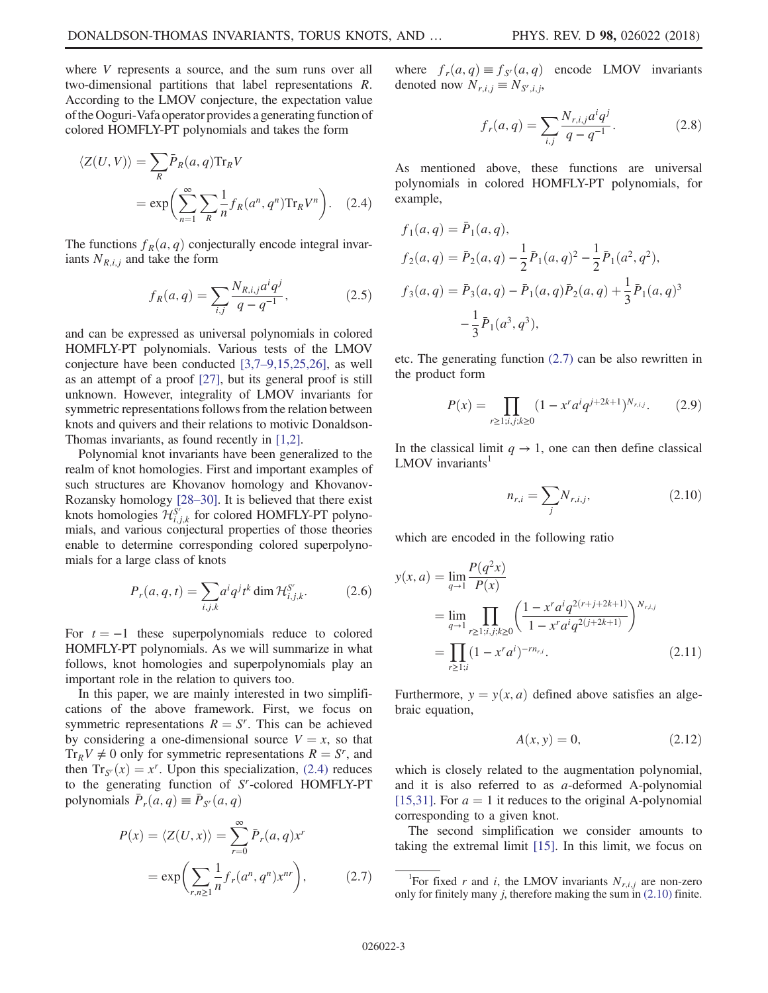where V represents a source, and the sum runs over all two-dimensional partitions that label representations R. According to the LMOV conjecture, the expectation value of the Ooguri-Vafa operator provides a generating function of colored HOMFLY-PT polynomials and takes the form

<span id="page-2-0"></span>
$$
\langle Z(U,V) \rangle = \sum_{R} \bar{P}_{R}(a,q) \text{Tr}_{R} V
$$

$$
= \exp \left( \sum_{n=1}^{\infty} \sum_{R} \frac{1}{n} f_{R}(a^{n}, q^{n}) \text{Tr}_{R} V^{n} \right). \quad (2.4)
$$

The functions  $f_R(a, q)$  conjecturally encode integral invariants  $N_{R,i,j}$  and take the form

$$
f_R(a,q) = \sum_{i,j} \frac{N_{R,i,j} a^i q^j}{q - q^{-1}},
$$
 (2.5)

and can be expressed as universal polynomials in colored HOMFLY-PT polynomials. Various tests of the LMOV conjecture have been conducted [3,7–[9,15,25,26\]](#page-26-1), as well as an attempt of a proof [\[27\]](#page-27-3), but its general proof is still unknown. However, integrality of LMOV invariants for symmetric representations follows from the relation between knots and quivers and their relations to motivic Donaldson-Thomas invariants, as found recently in [\[1,2\]](#page-26-0).

Polynomial knot invariants have been generalized to the realm of knot homologies. First and important examples of such structures are Khovanov homology and Khovanov-Rozansky homology [\[28](#page-27-4)–30]. It is believed that there exist knots homologies  $\mathcal{H}_{i,j,k}^{S^{\tau}}$  for colored HOMFLY-PT polynomials, and various conjectural properties of those theories enable to determine corresponding colored superpolynomials for a large class of knots

$$
P_r(a,q,t) = \sum_{i,j,k} a^i q^j t^k \dim \mathcal{H}_{i,j,k}^{S^r}.
$$
 (2.6)

For  $t = -1$  these superpolynomials reduce to colored HOMFLY-PT polynomials. As we will summarize in what follows, knot homologies and superpolynomials play an important role in the relation to quivers too.

In this paper, we are mainly interested in two simplifications of the above framework. First, we focus on symmetric representations  $R = S<sup>r</sup>$ . This can be achieved by considering a one-dimensional source  $V = x$ , so that  $Tr_R V \neq 0$  only for symmetric representations  $R = S^r$ , and<br>then  $Tr_R(r) = r^r$ . Upon this specialization (2.4) reduces then  $Tr_{S'}(x) = x^r$ . Upon this specialization, [\(2.4\)](#page-2-0) reduces<br>to the generating function of *S*<sup>*r*</sup>-colored HOMFI Y-PT to the generating function of  $S<sup>r</sup>$ -colored HOMFLY-PT polynomials  $\bar{P}_r(a,q) \equiv \bar{P}_{S'}(a,q)$ 

<span id="page-2-1"></span>
$$
P(x) = \langle Z(U, x) \rangle = \sum_{r=0}^{\infty} \bar{P}_r(a, q) x^r
$$

$$
= \exp\left(\sum_{r, n \ge 1} \frac{1}{n} f_r(a^n, q^n) x^{nr}\right), \tag{2.7}
$$

where  $f_r(a,q) \equiv f_{S'}(a,q)$  encode LMOV invariants denoted now  $N_{r,i,j} \equiv N_{S^r,i,j}$ ,

$$
f_r(a,q) = \sum_{i,j} \frac{N_{r,i,j} a^i q^j}{q - q^{-1}}.
$$
 (2.8)

As mentioned above, these functions are universal polynomials in colored HOMFLY-PT polynomials, for example,

$$
f_1(a,q) = \bar{P}_1(a,q),
$$
  
\n
$$
f_2(a,q) = \bar{P}_2(a,q) - \frac{1}{2}\bar{P}_1(a,q)^2 - \frac{1}{2}\bar{P}_1(a^2,q^2),
$$
  
\n
$$
f_3(a,q) = \bar{P}_3(a,q) - \bar{P}_1(a,q)\bar{P}_2(a,q) + \frac{1}{3}\bar{P}_1(a,q)^3 - \frac{1}{3}\bar{P}_1(a^3,q^3),
$$

etc. The generating function [\(2.7\)](#page-2-1) can be also rewritten in the product form

$$
P(x) = \prod_{r \ge 1; i, j; k \ge 0} (1 - x^r a^i q^{j + 2k + 1})^{N_{r,i,j}}.
$$
 (2.9)

<span id="page-2-2"></span>In the classical limit  $q \to 1$ , one can then define classical  $LMOV$  invariants<sup>1</sup>

$$
n_{r,i} = \sum_{j} N_{r,i,j},
$$
 (2.10)

<span id="page-2-3"></span>which are encoded in the following ratio

$$
y(x, a) = \lim_{q \to 1} \frac{P(q^2 x)}{P(x)}
$$
  
= 
$$
\lim_{q \to 1} \prod_{r \ge 1; i, j; k \ge 0} \left( \frac{1 - x^r a^i q^{2(r+j+2k+1)}}{1 - x^r a^i q^{2(j+2k+1)}} \right)^{N_{r,i,j}}
$$
  
= 
$$
\prod_{r \ge 1; i} (1 - x^r a^i)^{-rn_{r,i}}.
$$
 (2.11)

<span id="page-2-4"></span>Furthermore,  $y = y(x, a)$  defined above satisfies an algebraic equation,

$$
A(x, y) = 0,\t(2.12)
$$

which is closely related to the augmentation polynomial, and it is also referred to as a-deformed A-polynomial [\[15,31\]](#page-26-4). For  $a = 1$  it reduces to the original A-polynomial corresponding to a given knot.

The second simplification we consider amounts to taking the extremal limit [\[15\]](#page-26-4). In this limit, we focus on

<sup>&</sup>lt;sup>1</sup>For fixed r and i, the LMOV invariants  $N_{r,i,j}$  are non-zero only for finitely many  $j$ , therefore making the sum in  $(2.10)$  finite.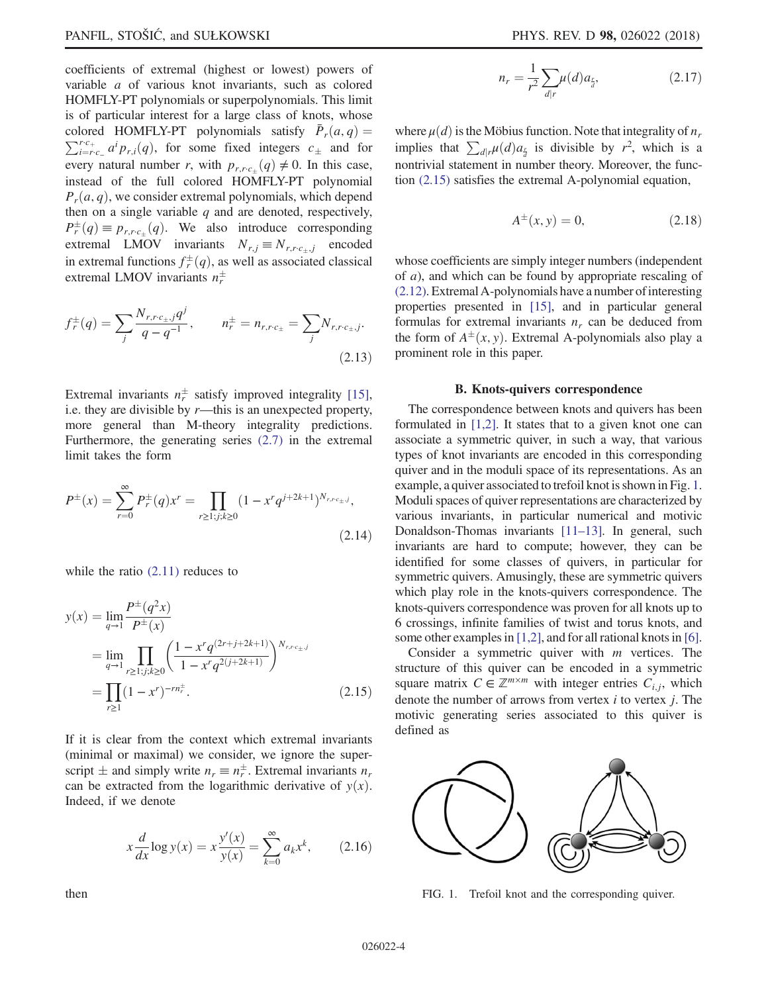coefficients of extremal (highest or lowest) powers of variable a of various knot invariants, such as colored HOMFLY-PT polynomials or superpolynomials. This limit is of particular interest for a large class of knots, whose colored HOMFLY-PT polynomials satisfy  $\overline{P}_r(a,q) =$ colored HOMFLY-PT polynomials satisfy  $\bar{P}_r(a,q) = \sum_{i=r,c}^{r.c_+} a^i p_{r,i}(q)$ , for some fixed integers  $c_{\pm}$  and for  $\int_{i=r_{c_-}}^{r_{c_+}} a^i p_{r,i}(q)$ , for some fixed integers  $c_{\pm}$  and for every natural number r, with  $p_{r,r,c_{\pm}}(q) \neq 0$ . In this case,<br>instead of the full colored HOMEI V PT polynomial instead of the full colored HOMFLY-PT polynomial  $P_r(a, q)$ , we consider extremal polynomials, which depend then on a single variable  $q$  and are denoted, respectively,  $P^{\pm}_{r}(q) \equiv p_{r,rc_{\pm}}(q)$ . We also introduce corresponding<br>extremal LMOV inverients  $N = N$  encoded extremal LMOV invariants  $N_{r,j} \equiv N_{r,r,c_{\pm},j}$  encoded in extremal functions  $f^{\pm}_{\tau}(q)$ , as well as associated classical<br>extremal LMOV invariants  $n^{\pm}$ extremal LMOV invariants  $n_r^{\pm}$ 

$$
f_r^{\pm}(q) = \sum_j \frac{N_{r,r,c_{\pm},j}q^j}{q - q^{-1}}, \qquad n_r^{\pm} = n_{r,r,c_{\pm}} = \sum_j N_{r,r,c_{\pm},j}.
$$
\n(2.13)

<span id="page-3-3"></span>Extremal invariants  $n_r^{\pm}$  satisfy improved integrality [\[15\]](#page-26-4), i.e. they are divisible by  $r$ —this is an unexpected property, more general than M-theory integrality predictions. Furthermore, the generating series [\(2.7\)](#page-2-1) in the extremal limit takes the form

$$
P^{\pm}(x) = \sum_{r=0}^{\infty} P_r^{\pm}(q)x^r = \prod_{r \ge 1; j; k \ge 0} (1 - x^r q^{j + 2k + 1})^{N_{r, r c_{\pm}, j}},
$$
\n(2.14)

<span id="page-3-0"></span>while the ratio  $(2.11)$  reduces to

$$
y(x) = \lim_{q \to 1} \frac{P^{\pm}(q^2 x)}{P^{\pm}(x)}
$$
  
= 
$$
\lim_{q \to 1} \prod_{r \ge 1; j; k \ge 0} \left( \frac{1 - x^r q^{(2r + j + 2k + 1)}}{1 - x^r q^{2(j + 2k + 1)}} \right)^{N_{r, r \in \pm j}}
$$
  
= 
$$
\prod_{r \ge 1} (1 - x^r)^{-rn_r^{\pm}}.
$$
 (2.15)

<span id="page-3-6"></span>If it is clear from the context which extremal invariants (minimal or maximal) we consider, we ignore the superscript  $\pm$  and simply write  $n_r \equiv n_r^{\pm}$ . Extremal invariants  $n_r$ <br>can be extracted from the logarithmic derivative of  $y(r)$ can be extracted from the logarithmic derivative of  $y(x)$ . Indeed, if we denote

<span id="page-3-5"></span>
$$
x\frac{d}{dx}\log y(x) = x\frac{y'(x)}{y(x)} = \sum_{k=0}^{\infty} a_k x^k, \qquad (2.16)
$$

$$
n_r = \frac{1}{r^2} \sum_{d|r} \mu(d) a_{\frac{r}{d}},
$$
\n(2.17)

where  $\mu(d)$  is the Möbius function. Note that integrality of  $n_r$ implies that  $\sum_{d|r} \mu(d) a_{\frac{r}{d}}$  is divisible by  $r^2$ , which is a nontrivial statement in number theory. Moreover, the function [\(2.15\)](#page-3-0) satisfies the extremal A-polynomial equation,

$$
A^{\pm}(x, y) = 0, \t(2.18)
$$

whose coefficients are simply integer numbers (independent of a), and which can be found by appropriate rescaling of [\(2.12\).](#page-2-4) Extremal A-polynomials have a number of interesting properties presented in [\[15\],](#page-26-4) and in particular general formulas for extremal invariants  $n_r$  can be deduced from the form of  $A^{\pm}(x, y)$ . Extremal A-polynomials also play a<br>prominent role in this paper prominent role in this paper.

#### B. Knots-quivers correspondence

<span id="page-3-4"></span>The correspondence between knots and quivers has been formulated in [\[1,2\]](#page-26-0). It states that to a given knot one can associate a symmetric quiver, in such a way, that various types of knot invariants are encoded in this corresponding quiver and in the moduli space of its representations. As an example, a quiver associated to trefoil knot is shown in Fig. [1](#page-3-1). Moduli spaces of quiver representations are characterized by various invariants, in particular numerical and motivic Donaldson-Thomas invariants [\[11](#page-26-3)–13]. In general, such invariants are hard to compute; however, they can be identified for some classes of quivers, in particular for symmetric quivers. Amusingly, these are symmetric quivers which play role in the knots-quivers correspondence. The knots-quivers correspondence was proven for all knots up to 6 crossings, infinite families of twist and torus knots, and some other examples in [\[1,2\],](#page-26-0) and for all rational knots in [\[6\]](#page-26-10).

<span id="page-3-2"></span>Consider a symmetric quiver with  $m$  vertices. The structure of this quiver can be encoded in a symmetric square matrix  $C \in \mathbb{Z}^{m \times m}$  with integer entries  $C_{i,j}$ , which denote the number of arrows from vertex  $i$  to vertex  $j$ . The motivic generating series associated to this quiver is defined as

<span id="page-3-1"></span>

FIG. 1. Trefoil knot and the corresponding quiver.

then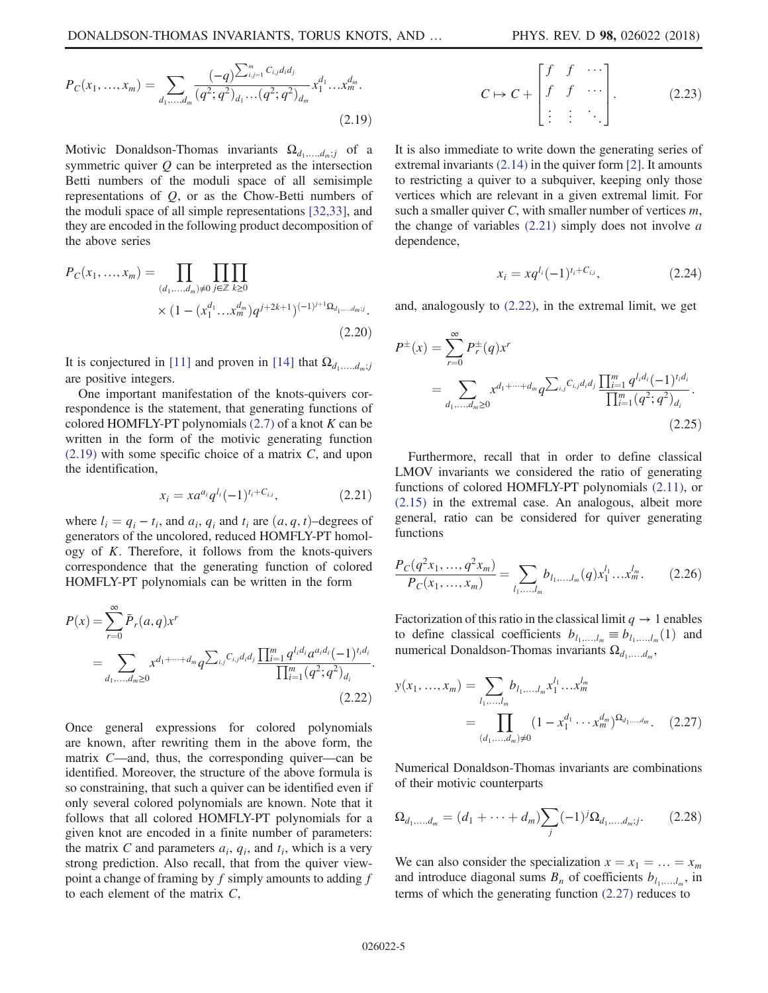$$
P_C(x_1, ..., x_m) = \sum_{d_1, ..., d_m} \frac{(-q)^{\sum_{i,j=1}^m C_{i,j}d_i d_j}}{(q^2; q^2)_{d_1} \dots (q^2; q^2)_{d_m}} x_1^{d_1} \dots x_m^{d_m}.
$$
\n(2.19)

Motivic Donaldson-Thomas invariants  $\Omega_{d_1,...,d_m;j}$  of a symmetric quiver  $Q$  can be interpreted as the intersection Betti numbers of the moduli space of all semisimple representations of  $Q$ , or as the Chow-Betti numbers of the moduli space of all simple representations [\[32,33\]](#page-27-5), and they are encoded in the following product decomposition of the above series

$$
P_C(x_1, ..., x_m) = \prod_{(d_1, ..., d_m) \neq 0} \prod_{j \in \mathbb{Z}} \prod_{k \geq 0}
$$
  
 
$$
\times (1 - (x_1^{d_1} ... x_m^{d_m}) q^{j+2k+1})^{(-1)^{j+1} \Omega_{d_1, ..., d_m; j}}.
$$
(2.20)

It is conjectured in [\[11\]](#page-26-3) and proven in [\[14\]](#page-26-11) that  $\Omega_{d_1,...,d_m;j}$ are positive integers.

One important manifestation of the knots-quivers correspondence is the statement, that generating functions of colored HOMFLY-PT polynomials  $(2.7)$  of a knot K can be written in the form of the motivic generating function  $(2.19)$  with some specific choice of a matrix C, and upon the identification,

$$
x_i = x a^{a_i} q^{l_i} (-1)^{t_i + C_{i,i}}, \tag{2.21}
$$

<span id="page-4-0"></span>where  $l_i = q_i - t_i$ , and  $a_i, q_i$  and  $t_i$  are  $(a, q, t)$ –degrees of generators of the uncolored, reduced HOMFLY-PT homology of  $K$ . Therefore, it follows from the knots-quivers correspondence that the generating function of colored HOMFLY-PT polynomials can be written in the form

<span id="page-4-1"></span>
$$
P(x) = \sum_{r=0}^{\infty} \bar{P}_r(a, q) x^r
$$
  
= 
$$
\sum_{d_1,...,d_m \ge 0} x^{d_1 + \dots + d_m} q^{\sum_{i,j} C_{i,j} d_i d_j} \frac{\prod_{i=1}^m q^{l_i d_i} a^{a_i d_i} (-1)^{t_i d_i}}{\prod_{i=1}^m (q^2; q^2)_{d_i}}.
$$
(2.22)

Once general expressions for colored polynomials are known, after rewriting them in the above form, the matrix C—and, thus, the corresponding quiver—can be identified. Moreover, the structure of the above formula is so constraining, that such a quiver can be identified even if only several colored polynomials are known. Note that it follows that all colored HOMFLY-PT polynomials for a given knot are encoded in a finite number of parameters: the matrix C and parameters  $a_i$ ,  $q_i$ , and  $t_i$ , which is a very strong prediction. Also recall, that from the quiver viewpoint a change of framing by  $f$  simply amounts to adding  $f$ to each element of the matrix C,

$$
C \mapsto C + \begin{bmatrix} f & f & \cdots \\ f & f & \cdots \\ \vdots & \vdots & \ddots \end{bmatrix} . \tag{2.23}
$$

It is also immediate to write down the generating series of extremal invariants [\(2.14\)](#page-3-3) in the quiver form [\[2\]](#page-26-12). It amounts to restricting a quiver to a subquiver, keeping only those vertices which are relevant in a given extremal limit. For such a smaller quiver  $C$ , with smaller number of vertices  $m$ , the change of variables  $(2.21)$  simply does not involve  $a$ dependence,

$$
x_i = xq^{l_i}(-1)^{t_i + C_{i,i}}, \tag{2.24}
$$

<span id="page-4-4"></span>and, analogously to [\(2.22\)](#page-4-1), in the extremal limit, we get

$$
P^{\pm}(x) = \sum_{r=0}^{\infty} P_r^{\pm}(q)x^r
$$
  
= 
$$
\sum_{d_1,...,d_m \ge 0} x^{d_1 + \dots + d_m} q^{\sum_{i,j} C_{i,j} d_i d_j} \frac{\prod_{i=1}^m q^{l_i d_i} (-1)^{t_i d_i}}{\prod_{i=1}^m (q^2; q^2)_{d_i}}.
$$
(2.25)

Furthermore, recall that in order to define classical LMOV invariants we considered the ratio of generating functions of colored HOMFLY-PT polynomials [\(2.11\)](#page-2-3), or [\(2.15\)](#page-3-0) in the extremal case. An analogous, albeit more general, ratio can be considered for quiver generating functions

<span id="page-4-3"></span>
$$
\frac{P_C(q^2x_1, ..., q^2x_m)}{P_C(x_1, ..., x_m)} = \sum_{l_1, ..., l_m} b_{l_1, ..., l_m}(q) x_1^{l_1} ... x_m^{l_m}.
$$
 (2.26)

<span id="page-4-2"></span>Factorization of this ratio in the classical limit  $q \to 1$  enables to define classical coefficients  $b_{l_1,...,l_m} \equiv b_{l_1,...,l_m}(1)$  and numerical Donaldson-Thomas invariants  $\Omega_{d_1,...,d_m}$ ,

$$
y(x_1, ..., x_m) = \sum_{l_1, ..., l_m} b_{l_1, ..., l_m} x_1^{l_1} ... x_m^{l_m}
$$
  
= 
$$
\prod_{(d_1, ..., d_m) \neq 0} (1 - x_1^{d_1} ... x_m^{d_m})^{\Omega_{d_1, ..., d_m}}.
$$
 (2.27)

Numerical Donaldson-Thomas invariants are combinations of their motivic counterparts

$$
\Omega_{d_1,...,d_m} = (d_1 + \dots + d_m) \sum_j (-1)^j \Omega_{d_1,...,d_m;j}.
$$
 (2.28)

<span id="page-4-5"></span>We can also consider the specialization  $x = x_1 = ... = x_m$ and introduce diagonal sums  $B_n$  of coefficients  $b_{l_1,\ldots,l_m}$ , in terms of which the generating function [\(2.27\)](#page-4-2) reduces to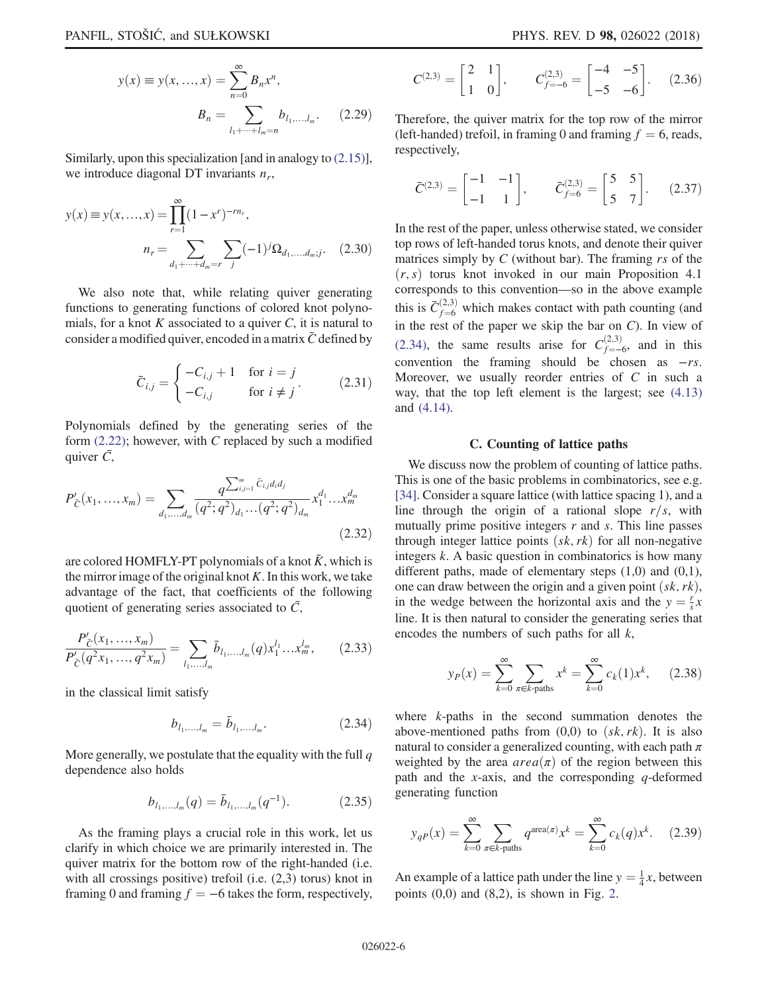$$
y(x) \equiv y(x, ..., x) = \sum_{n=0}^{\infty} B_n x^n,
$$

$$
B_n = \sum_{l_1 + \dots + l_m = n} b_{l_1, ..., l_m}.
$$
 (2.29)

<span id="page-5-2"></span>Similarly, upon this specialization [and in analogy to [\(2.15\)](#page-3-0)], we introduce diagonal DT invariants  $n_r$ ,

$$
y(x) \equiv y(x, ..., x) = \prod_{r=1}^{\infty} (1 - x^r)^{-rn_r},
$$

$$
n_r = \sum_{d_1 + \dots + d_m = r} \sum_j (-1)^j \Omega_{d_1, ..., d_m; j}.
$$
 (2.30)

We also note that, while relating quiver generating functions to generating functions of colored knot polynomials, for a knot  $K$  associated to a quiver  $C$ , it is natural to consider a modified quiver, encoded in a matrix  $\bar{C}$  defined by

$$
\bar{C}_{i,j} = \begin{cases}\n-C_{i,j} + 1 & \text{for } i = j \\
-C_{i,j} & \text{for } i \neq j\n\end{cases}
$$
\n(2.31)

Polynomials defined by the generating series of the form  $(2.22)$ ; however, with C replaced by such a modified quiver  $\bar{C}$ ,

$$
P'_{\tilde{C}}(x_1, ..., x_m) = \sum_{d_1, ..., d_m} \frac{q^{\sum_{i,j=1}^m \tilde{C}_{i,j} d_i d_j}}{(q^2; q^2)_{d_1} ... (q^2; q^2)_{d_m}} x_1^{d_1} ... x_m^{d_m}
$$
\n(2.32)

are colored HOMFLY-PT polynomials of a knot  $K$ , which is the mirror image of the original knot  $K$ . In this work, we take advantage of the fact, that coefficients of the following quotient of generating series associated to  $\bar{C}$ ,

$$
\frac{P'_{\tilde{C}}(x_1, ..., x_m)}{P'_{\tilde{C}}(q^2 x_1, ..., q^2 x_m)} = \sum_{l_1, ..., l_m} \bar{b}_{l_1, ..., l_m}(q) x_1^{l_1} ... x_m^{l_m},
$$
 (2.33)

<span id="page-5-0"></span>in the classical limit satisfy

$$
b_{l_1,...,l_m} = \bar{b}_{l_1,...,l_m}.\tag{2.34}
$$

More generally, we postulate that the equality with the full  $q$ dependence also holds

$$
b_{l_1,\ldots,l_m}(q) = \bar{b}_{l_1,\ldots,l_m}(q^{-1}).
$$
 (2.35)

As the framing plays a crucial role in this work, let us clarify in which choice we are primarily interested in. The quiver matrix for the bottom row of the right-handed (i.e. with all crossings positive) trefoil (i.e.  $(2,3)$  torus) knot in framing 0 and framing  $f = -6$  takes the form, respectively,

$$
C^{(2,3)} = \begin{bmatrix} 2 & 1 \\ 1 & 0 \end{bmatrix}, \qquad C^{(2,3)}_{f=-6} = \begin{bmatrix} -4 & -5 \\ -5 & -6 \end{bmatrix}. \tag{2.36}
$$

Therefore, the quiver matrix for the top row of the mirror (left-handed) trefoil, in framing 0 and framing  $f = 6$ , reads, respectively,

$$
\bar{C}^{(2,3)} = \begin{bmatrix} -1 & -1 \\ -1 & 1 \end{bmatrix}, \qquad \bar{C}_{f=6}^{(2,3)} = \begin{bmatrix} 5 & 5 \\ 5 & 7 \end{bmatrix}. \tag{2.37}
$$

In the rest of the paper, unless otherwise stated, we consider top rows of left-handed torus knots, and denote their quiver matrices simply by  $C$  (without bar). The framing  $rs$  of the  $(r, s)$  torus knot invoked in our main Proposition 4.1 corresponds to this convention—so in the above example this is  $\bar{C}_{f=6}^{(2,3)}$  which makes contact with path counting (and<br>in the rest of the pener we skin the her on  $C$ ). In view of in the rest of the paper we skip the bar on  $C$ ). In view of [\(2.34\)](#page-5-0), the same results arise for  $C_{f=-6}^{(2,3)}$ , and in this convention the framing should be chosen as −rs. Moreover, we usually reorder entries of C in such a way, that the top left element is the largest; see [\(4.13\)](#page-12-0) and [\(4.14\).](#page-12-1)

## C. Counting of lattice paths

<span id="page-5-4"></span>We discuss now the problem of counting of lattice paths. This is one of the basic problems in combinatorics, see e.g. [\[34\]](#page-27-6). Consider a square lattice (with lattice spacing 1), and a line through the origin of a rational slope  $r/s$ , with mutually prime positive integers  $r$  and  $s$ . This line passes through integer lattice points  $(s\kappa, r\kappa)$  for all non-negative integers k. A basic question in combinatorics is how many different paths, made of elementary steps  $(1,0)$  and  $(0,1)$ , one can draw between the origin and a given point  $(sk, rk)$ , in the wedge between the horizontal axis and the  $y = \frac{r}{s}x$ <br>line. It is then natural to consider the generating series that line. It is then natural to consider the generating series that encodes the numbers of such paths for all  $k$ ,

<span id="page-5-1"></span>
$$
y_P(x) = \sum_{k=0}^{\infty} \sum_{\pi \in k\text{-paths}} x^k = \sum_{k=0}^{\infty} c_k(1) x^k, \quad (2.38)
$$

where k-paths in the second summation denotes the above-mentioned paths from  $(0,0)$  to  $(s\,k, rk)$ . It is also natural to consider a generalized counting, with each path  $\pi$ weighted by the area  $area(\pi)$  of the region between this path and the x-axis, and the corresponding  $q$ -deformed generating function

<span id="page-5-3"></span>
$$
y_{qP}(x) = \sum_{k=0}^{\infty} \sum_{\pi \in k \text{-paths}} q^{\text{area}(\pi)} x^k = \sum_{k=0}^{\infty} c_k(q) x^k.
$$
 (2.39)

An example of a lattice path under the line  $y = \frac{1}{4}x$ , between<br>points (0.0) and (8.2) is shown in Fig. 2 points  $(0,0)$  and  $(8,2)$  $(8,2)$  $(8,2)$ , is shown in Fig. 2.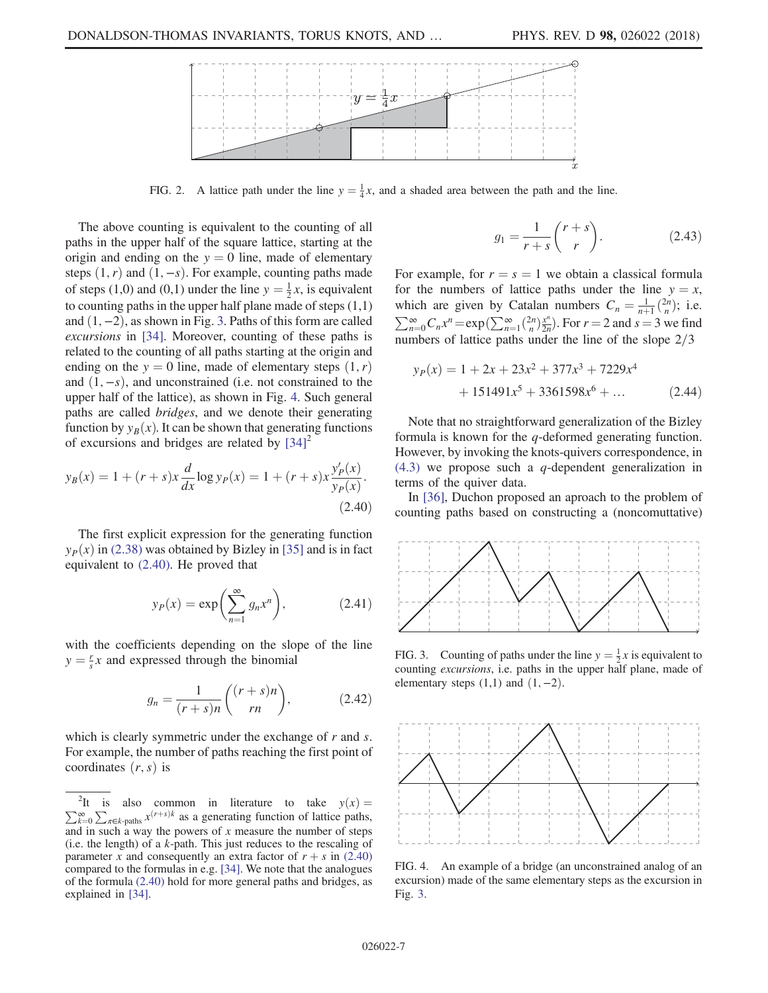<span id="page-6-0"></span>

FIG. 2. A lattice path under the line  $y = \frac{1}{4}x$ , and a shaded area between the path and the line.

The above counting is equivalent to the counting of all paths in the upper half of the square lattice, starting at the origin and ending on the  $y = 0$  line, made of elementary steps  $(1, r)$  and  $(1, -s)$ . For example, counting paths made of steps (1,0) and (0,1) under the line  $y = \frac{1}{2}x$ , is equivalent<br>to counting paths in the upper half plane made of steps (1,1) to counting paths in the upper half plane made of steps  $(1,1)$ and  $(1, -2)$ , as shown in Fig. [3](#page-6-1). Paths of this form are called excursions in [\[34\]](#page-27-6). Moreover, counting of these paths is related to the counting of all paths starting at the origin and ending on the  $y = 0$  line, made of elementary steps  $(1, r)$ and  $(1, -s)$ , and unconstrained (i.e. not constrained to the upper half of the lattice), as shown in Fig. [4](#page-6-2). Such general paths are called bridges, and we denote their generating function by  $y_B(x)$ . It can be shown that generating functions of excursions and bridges are related by  $[34]^{2}$ 

<span id="page-6-3"></span>
$$
y_B(x) = 1 + (r+s)x \frac{d}{dx} \log y_P(x) = 1 + (r+s)x \frac{y_P'(x)}{y_P(x)}.
$$
\n(2.40)

<span id="page-6-6"></span>The first explicit expression for the generating function  $y_P(x)$  in [\(2.38\)](#page-5-1) was obtained by Bizley in [\[35\]](#page-27-7) and is in fact equivalent to [\(2.40\)](#page-6-3). He proved that

$$
y_P(x) = \exp\left(\sum_{n=1}^{\infty} g_n x^n\right),\tag{2.41}
$$

<span id="page-6-5"></span>with the coefficients depending on the slope of the line  $y = \frac{r}{s}x$  and expressed through the binomial

$$
g_n = \frac{1}{(r+s)n} \binom{(r+s)n}{rn},\tag{2.42}
$$

which is clearly symmetric under the exchange of  $r$  and  $s$ . For example, the number of paths reaching the first point of coordinates  $(r, s)$  is

$$
g_1 = \frac{1}{r+s} \binom{r+s}{r}.
$$
 (2.43)

For example, for  $r = s = 1$  we obtain a classical formula for the numbers of lattice paths under the line  $y = x$ , which are given by Catalan numbers  $C_n = \frac{1}{n+1} {2n \choose n}$ ; i.e.  $\sum_{n=0}^{\infty} C_n x^n = \exp\left(\sum_{n=1}^{\infty} {2n \choose n} \frac{x^n}{2n}\right)$ . For  $r = 2$  and  $s = 3$  we find numbers of lattice paths under the line of the slope  $2/3$ 

<span id="page-6-4"></span>
$$
y_P(x) = 1 + 2x + 23x^2 + 377x^3 + 7229x^4
$$
  
+ 151491x<sup>5</sup> + 3361598x<sup>6</sup> + ... (2.44)

Note that no straightforward generalization of the Bizley formula is known for the q-deformed generating function. However, by invoking the knots-quivers correspondence, in [\(4.3\)](#page-11-0) we propose such a q-dependent generalization in terms of the quiver data.

In [\[36\],](#page-27-8) Duchon proposed an aproach to the problem of counting paths based on constructing a (noncomuttative)

<span id="page-6-1"></span>

FIG. 3. Counting of paths under the line  $y = \frac{1}{2}x$  is equivalent to counting *excursions* i.e. paths in the unner half plane, made of counting excursions, i.e. paths in the upper half plane, made of elementary steps  $(1,1)$  and  $(1,-2)$ .

<span id="page-6-2"></span>

FIG. 4. An example of a bridge (an unconstrained analog of an excursion) made of the same elementary steps as the excursion in Fig. [3](#page-6-1).

 $^2 \mathrm{It}$ <sup>2</sup>It is also common in literature to take  $y(x) = \sum_{k=0}^{\infty} \sum_{\pi \in k\text{-naths}} x^{(r+s)k}$  as a generating function of lattice paths,  $\sum_{k=0}^{\infty} \sum_{\pi \in k\text{-paths}} x^{(r+s)k}$  as a generating function of lattice paths, and in such a way the powers of  $x$  measure the number of steps (i.e. the length) of a  $k$ -path. This just reduces to the rescaling of parameter x and consequently an extra factor of  $r + s$  in [\(2.40\)](#page-6-3) compared to the formulas in e.g. [\[34\].](#page-27-6) We note that the analogues of the formula [\(2.40\)](#page-6-3) hold for more general paths and bridges, as explained in [\[34\]](#page-27-6).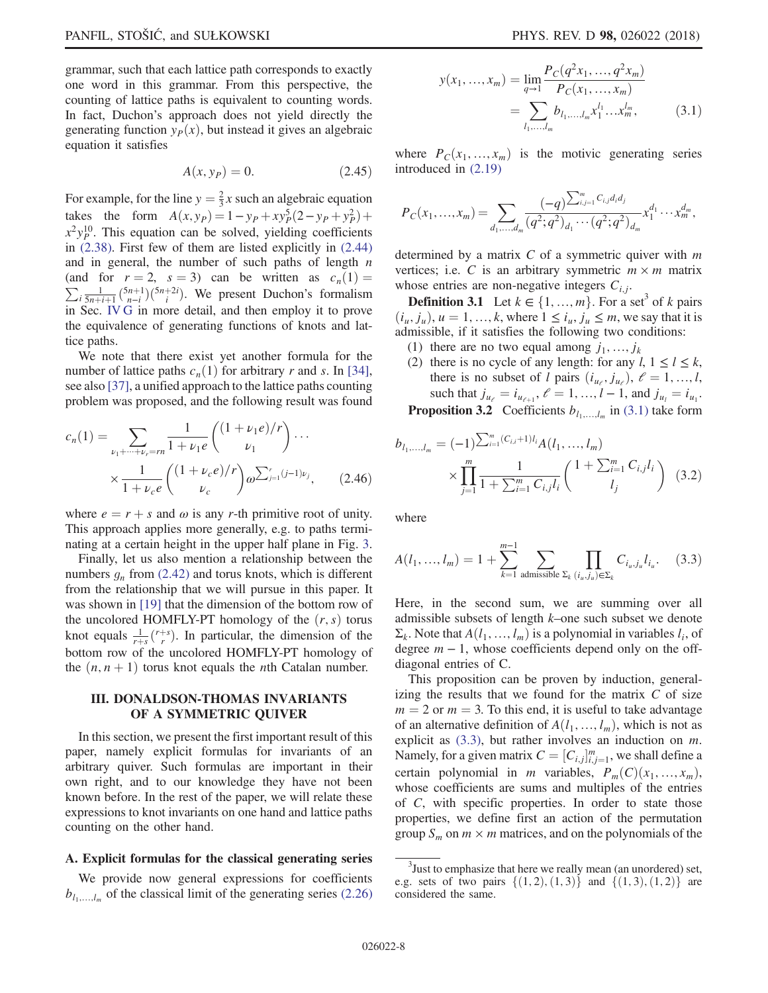grammar, such that each lattice path corresponds to exactly one word in this grammar. From this perspective, the counting of lattice paths is equivalent to counting words. In fact, Duchon's approach does not yield directly the generating function  $y_P(x)$ , but instead it gives an algebraic equation it satisfies

$$
A(x, y_P) = 0.\t(2.45)
$$

For example, for the line  $y = \frac{2}{3}x$  such an algebraic equation takes the form  $A(x, y_P) = 1 - y_P + xy_P^5 (2 - y_P + y_P^2)$ <br> $x^2y^{10}$  This equation can be solved vialding coefficient takes the form  $A(x, y_p) = 1 - y_p + xy_p (2 - y_p + y_p) + x^2 y_p^0$ . This equation can be solved, yielding coefficients in [\(2.38\)](#page-5-1). First few of them are listed explicitly in [\(2.44\)](#page-6-4) and in general, the number of such paths of length  $n$ (and for  $r = 2$ ,  $s = 3$ ) can be written as  $c_n(1) = \sum_{i} \frac{1}{5n+i+1} {5n+1 \choose n-i}$ . We present Duchon's formalism<br>in Sec IVG in more detail and then employ it to prove (and for  $r = 2$ ,  $s = 3$ ) can be written as  $c_n(1) =$ in Sec. [IV G](#page-17-0) in more detail, and then employ it to prove the equivalence of generating functions of knots and lattice paths.

We note that there exist yet another formula for the number of lattice paths  $c_n(1)$  for arbitrary r and s. In [\[34\]](#page-27-6), see also [\[37\]](#page-27-9), a unified approach to the lattice paths counting problem was proposed, and the following result was found

$$
c_n(1) = \sum_{\nu_1 + \dots + \nu_r = rn} \frac{1}{1 + \nu_1 e} \binom{(1 + \nu_1 e)/r}{\nu_1} \cdots
$$

$$
\times \frac{1}{1 + \nu_c e} \binom{(1 + \nu_c e)/r}{\nu_c} \omega^{\sum_{j=1}^r (j-1)\nu_j}, \qquad (2.46)
$$

where  $e = r + s$  and  $\omega$  is any r-th primitive root of unity. This approach applies more generally, e.g. to paths terminating at a certain height in the upper half plane in Fig. [3](#page-6-1).

Finally, let us also mention a relationship between the numbers  $g_n$  from [\(2.42\)](#page-6-5) and torus knots, which is different from the relationship that we will pursue in this paper. It was shown in [\[19\]](#page-26-8) that the dimension of the bottom row of the uncolored HOMFLY-PT homology of the  $(r, s)$  torus knot equals  $\frac{1}{r+s}$   $\binom{r+s}{r}$ . In particular, the dimension of the hottom row of the uncolored HOMEI V PT homology of bottom row of the uncolored HOMFLY-PT homology of the  $(n, n + 1)$  torus knot equals the *n*th Catalan number.

## <span id="page-7-0"></span>III. DONALDSON-THOMAS INVARIANTS OF A SYMMETRIC QUIVER

In this section, we present the first important result of this paper, namely explicit formulas for invariants of an arbitrary quiver. Such formulas are important in their own right, and to our knowledge they have not been known before. In the rest of the paper, we will relate these expressions to knot invariants on one hand and lattice paths counting on the other hand.

## <span id="page-7-4"></span>A. Explicit formulas for the classical generating series

<span id="page-7-1"></span>We provide now general expressions for coefficients  $b_{l_1,...,l_m}$  of the classical limit of the generating series [\(2.26\)](#page-4-3)

$$
y(x_1, ..., x_m) = \lim_{q \to 1} \frac{P_C(q^2 x_1, ..., q^2 x_m)}{P_C(x_1, ..., x_m)}
$$
  
= 
$$
\sum_{l_1, ..., l_m} b_{l_1, ..., l_m} x_1^{l_1} ... x_m^{l_m},
$$
 (3.1)

where  $P_C(x_1, ..., x_m)$  is the motivic generating series introduced in [\(2.19\)](#page-3-2)

$$
P_C(x_1,...,x_m) = \sum_{d_1,...,d_m} \frac{(-q)^{\sum_{i,j=1}^m C_{i,j}d_i d_j}}{(q^2;q^2)_{d_1}\cdots(q^2;q^2)_{d_m}} x_1^{d_1}\cdots x_m^{d_m},
$$

determined by a matrix  $C$  of a symmetric quiver with  $m$ vertices; i.e. C is an arbitrary symmetric  $m \times m$  matrix whose entries are non-negative integers  $C_{i,j}$ .

**Definition 3.1** Let  $k \in \{1, ..., m\}$ . For a set<sup>3</sup> of k pairs  $(i_u, j_u)$ ,  $u = 1, \ldots, k$ , where  $1 \le i_u, j_u \le m$ , we say that it is admissible, if it satisfies the following two conditions:

- (1) there are no two equal among  $j_1, ..., j_k$
- (2) there is no cycle of any length: for any  $l, 1 \le l \le k$ , there is no subset of l pairs  $(i_{u_{\ell}}, j_{u_{\ell}}), \ell = 1, ..., l$ , such that  $j_{u_{\ell}} = i_{u_{\ell+1}}, \ell = 1, ..., l - 1$ , and  $j_{u_l} = i_{u_1}$ .

<span id="page-7-3"></span>**Proposition 3.2** Coefficients  $b_{l_1,...,l_m}$  in [\(3.1\)](#page-7-1) take form

$$
b_{l_1,...,l_m} = (-1)^{\sum_{i=1}^m (C_{i,i}+1)l_i} A(l_1,...,l_m)
$$

$$
\times \prod_{j=1}^m \frac{1}{1+\sum_{i=1}^m C_{i,j}l_i} \binom{1+\sum_{i=1}^m C_{i,j}l_i}{l_j} \quad (3.2)
$$

<span id="page-7-2"></span>where

$$
A(l_1, ..., l_m) = 1 + \sum_{k=1}^{m-1} \sum_{\text{admissible } \Sigma_k} \prod_{(i_u, j_u) \in \Sigma_k} C_{i_u, j_u} l_{i_u}.
$$
 (3.3)

Here, in the second sum, we are summing over all admissible subsets of length k–one such subset we denote  $\Sigma_k$ . Note that  $A(l_1, ..., l_m)$  is a polynomial in variables  $l_i$ , of degree  $m - 1$ , whose coefficients depend only on the offdiagonal entries of C.

This proposition can be proven by induction, generalizing the results that we found for the matrix  $C$  of size  $m = 2$  or  $m = 3$ . To this end, it is useful to take advantage of an alternative definition of  $A(l_1, ..., l_m)$ , which is not as explicit as  $(3.3)$ , but rather involves an induction on m. Namely, for a given matrix  $C = [C_{i,j}]_{i,j=1}^m$ , we shall define a cortain polynomial in m variables  $P_{i}(C)(x - x_{i})$ certain polynomial in *m* variables,  $P_m(C)(x_1, ..., x_m)$ , whose coefficients are sums and multiples of the entries of C, with specific properties. In order to state those properties, we define first an action of the permutation group  $S_m$  on  $m \times m$  matrices, and on the polynomials of the

 $3$ Just to emphasize that here we really mean (an unordered) set, e.g. sets of two pairs  $\{(1,2),(1,3)\}\$  and  $\{(1,3),(1,2)\}\$  are considered the same.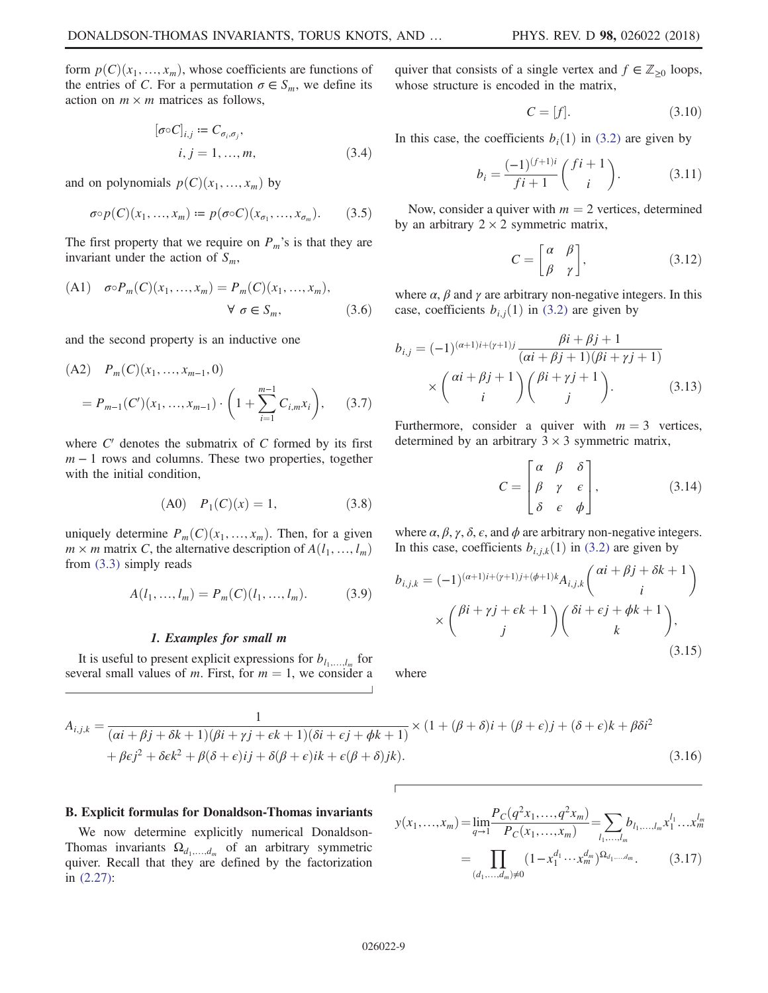form  $p(C)(x_1, ..., x_m)$ , whose coefficients are functions of the entries of C. For a permutation  $\sigma \in S_m$ , we define its action on  $m \times m$  matrices as follows,

$$
[\sigma \circ C]_{i,j} := C_{\sigma_i, \sigma_j},
$$
  

$$
i, j = 1, ..., m,
$$
 (3.4)

and on polynomials  $p(C)(x_1, ..., x_m)$  by

$$
\sigma \circ p(C)(x_1, \dots, x_m) := p(\sigma \circ C)(x_{\sigma_1}, \dots, x_{\sigma_m}). \tag{3.5}
$$

The first property that we require on  $P_m$ 's is that they are invariant under the action of  $S_m$ ,

(A1) 
$$
\sigma \circ P_m(C)(x_1, ..., x_m) = P_m(C)(x_1, ..., x_m),
$$

$$
\forall \sigma \in S_m,
$$
(3.6)

and the second property is an inductive one

(A2) 
$$
P_m(C)(x_1, ..., x_{m-1}, 0)
$$
  
=  $P_{m-1}(C')(x_1, ..., x_{m-1}) \cdot \left(1 + \sum_{i=1}^{m-1} C_{i,m} x_i\right),$  (3.7)

where  $C'$  denotes the submatrix of  $C$  formed by its first  $m - 1$  rows and columns. These two properties, together with the initial condition,

$$
(A0) \quad P_1(C)(x) = 1,\tag{3.8}
$$

uniquely determine  $P_m(C)(x_1, ..., x_m)$ . Then, for a given  $m \times m$  matrix C, the alternative description of  $A(l_1, ..., l_m)$ from [\(3.3\)](#page-7-2) simply reads

$$
A(l_1, ..., l_m) = P_m(C)(l_1, ..., l_m).
$$
 (3.9)

#### 1. Examples for small m

It is useful to present explicit expressions for  $b_{l_1,\ldots,l_m}$  for several small values of m. First, for  $m = 1$ , we consider a

\n A quiver that consists of a single vertex and 
$$
f \in \mathbb{Z}_{\geq 0}
$$
 loops, \n whose structure is encoded in the matrix,\n

$$
C = [f]. \tag{3.10}
$$

<span id="page-8-1"></span>In this case, the coefficients  $b_i(1)$  in [\(3.2\)](#page-7-3) are given by

$$
b_i = \frac{(-1)^{(f+1)i}}{fi+1} \binom{fi+1}{i}.
$$
 (3.11)

<span id="page-8-3"></span>Now, consider a quiver with  $m = 2$  vertices, determined by an arbitrary  $2 \times 2$  symmetric matrix,

$$
C = \begin{bmatrix} \alpha & \beta \\ \beta & \gamma \end{bmatrix}, \tag{3.12}
$$

<span id="page-8-2"></span>where  $\alpha$ ,  $\beta$  and  $\gamma$  are arbitrary non-negative integers. In this case, coefficients  $b_{i,j}(1)$  in [\(3.2\)](#page-7-3) are given by

$$
b_{i,j} = (-1)^{(\alpha+1)i+(\gamma+1)j} \frac{\beta i + \beta j + 1}{(\alpha i + \beta j + 1)(\beta i + \gamma j + 1)}
$$

$$
\times \begin{pmatrix} \alpha i + \beta j + 1 \\ i \end{pmatrix} \begin{pmatrix} \beta i + \gamma j + 1 \\ j \end{pmatrix} . \tag{3.13}
$$

Furthermore, consider a quiver with  $m = 3$  vertices, determined by an arbitrary  $3 \times 3$  symmetric matrix,

$$
C = \begin{bmatrix} \alpha & \beta & \delta \\ \beta & \gamma & \epsilon \\ \delta & \epsilon & \phi \end{bmatrix}, \qquad (3.14)
$$

where  $\alpha$ ,  $\beta$ ,  $\gamma$ ,  $\delta$ ,  $\epsilon$ , and  $\phi$  are arbitrary non-negative integers. In this case, coefficients  $b_{i,j,k}(1)$  in [\(3.2\)](#page-7-3) are given by

$$
b_{i,j,k} = (-1)^{(\alpha+1)i+(\gamma+1)j+(\phi+1)k} A_{i,j,k} \binom{\alpha i + \beta j + \delta k + 1}{i}
$$

$$
\times \binom{\beta i + \gamma j + \epsilon k + 1}{j} \binom{\delta i + \epsilon j + \phi k + 1}{k},
$$
(3.15)

where

$$
A_{i,j,k} = \frac{1}{(\alpha i + \beta j + \delta k + 1)(\beta i + \gamma j + \epsilon k + 1)(\delta i + \epsilon j + \phi k + 1)} \times (1 + (\beta + \delta)i + (\beta + \epsilon)j + (\delta + \epsilon)k + \beta \delta i^2
$$
  
+  $\beta \epsilon j^2 + \delta \epsilon k^2 + \beta(\delta + \epsilon)ij + \delta(\beta + \epsilon)ik + \epsilon(\beta + \delta)jk$ . (3.16)

### B. Explicit formulas for Donaldson-Thomas invariants

<span id="page-8-0"></span>We now determine explicitly numerical Donaldson-Thomas invariants  $\Omega_{d_1,...,d_m}$  of an arbitrary symmetric quiver. Recall that they are defined by the factorization in [\(2.27\):](#page-4-2)

$$
y(x_1,...,x_m) = \lim_{q \to 1} \frac{P_C(q^2 x_1,...,q^2 x_m)}{P_C(x_1,...,x_m)} = \sum_{l_1,...,l_m} b_{l_1,...,l_m} x_1^{l_1}...x_m^{l_m}
$$

$$
= \prod_{(d_1,...,d_m) \neq 0} (1 - x_1^{d_1} \cdots x_m^{d_m})^{\Omega_{d_1,...,d_m}}.
$$
(3.17)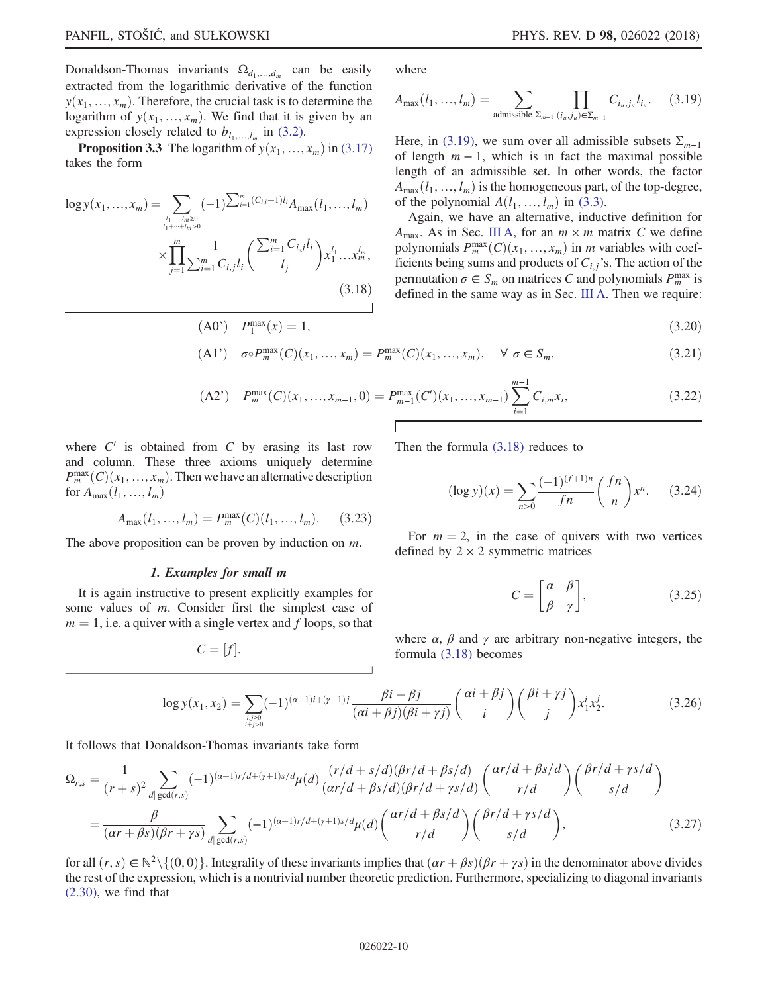Donaldson-Thomas invariants  $\Omega_{d_1,...,d_m}$  can be easily extracted from the logarithmic derivative of the function  $y(x_1, ..., x_m)$ . Therefore, the crucial task is to determine the logarithm of  $y(x_1, ..., x_m)$ . We find that it is given by an expression closely related to  $b_{l_1,...,l_m}$  in [\(3.2\).](#page-7-3)

<span id="page-9-1"></span>**Proposition 3.3** The logarithm of  $y(x_1, ..., x_m)$  in [\(3.17\)](#page-8-0) takes the form

$$
\log y(x_1, ..., x_m) = \sum_{\substack{l_1, ..., l_m \ge 0 \\ l_1 + \cdots + l_m > 0}} (-1)^{\sum_{i=1}^m (C_{i,i} + 1)l_i} A_{\max}(l_1, ..., l_m)
$$
\n
$$
\times \prod_{j=1}^m \frac{1}{\sum_{i=1}^m C_{i,j}l_i} \left( \frac{\sum_{i=1}^m C_{i,j}l_i}{l_j} \right) x_1^{l_1} \dots x_m^{l_m},\tag{3.18}
$$

<span id="page-9-0"></span>where

$$
A_{\max}(l_1, ..., l_m) = \sum_{\text{admissible } \Sigma_{m-1}} \prod_{(i_u, j_u) \in \Sigma_{m-1}} C_{i_u, j_u} l_{i_u}. \tag{3.19}
$$

Here, in [\(3.19\)](#page-9-0), we sum over all admissible subsets  $\Sigma_{m-1}$ of length  $m - 1$ , which is in fact the maximal possible length of an admissible set. In other words, the factor  $A_{\text{max}}(l_1, ..., l_m)$  is the homogeneous part, of the top-degree, of the polynomial  $A(l_1, ..., l_m)$  in [\(3.3\)](#page-7-2).

Again, we have an alternative, inductive definition for  $A_{\text{max}}$ . As in Sec. [III A](#page-7-4), for an  $m \times m$  matrix C we define polynomials  $P_m^{\max}(C)(x_1, ..., x_m)$  in m variables with coef-<br>ficients being sums and products of  $C_{\infty}$ 's. The action of the ficients being sums and products of  $C_{i,j}$ 's. The action of the permutation  $\sigma \in S_m$  on matrices C and polynomials  $P_m^{\max}$  is defined in the same way as in Sec. [III A.](#page-7-4) Then we require:

$$
\frac{\max}{1}(x) = 1,\tag{3.20}
$$

$$
(A1') \quad \sigma \circ P_m^{\max}(C)(x_1, ..., x_m) = P_m^{\max}(C)(x_1, ..., x_m), \quad \forall \sigma \in S_m,
$$
\n(3.21)

(A2') 
$$
P_m^{\max}(C)(x_1, ..., x_{m-1}, 0) = P_{m-1}^{\max}(C')(x_1, ..., x_{m-1}) \sum_{i=1}^{m-1} C_{i,m} x_i,
$$
 (3.22)

where  $C'$  is obtained from  $C$  by erasing its last row and column. These three axioms uniquely determine  $P_m^{\text{max}}(C)(x_1, ..., x_m)$ . Then we have an alternative description for  $A$ for  $A_{\text{max}}(l_1, ..., l_m)$ 

$$
A_{\max}(l_1, ..., l_m) = P_m^{\max}(C)(l_1, ..., l_m). \tag{3.23}
$$

 $(A0')$   $P_1^{\max}(x) = 1$ ,

The above proposition can be proven by induction on  $m$ .

### 1. Examples for small m

<span id="page-9-4"></span>It is again instructive to present explicitly examples for some values of m. Consider first the simplest case of  $m = 1$ , i.e. a quiver with a single vertex and f loops, so that

$$
C=[f].
$$

<span id="page-9-3"></span>Then the formula [\(3.18\)](#page-9-1) reduces to

$$
(\log y)(x) = \sum_{n>0} \frac{(-1)^{(f+1)n}}{fn} {fn \choose n} x^n. \tag{3.24}
$$

For  $m = 2$ , in the case of quivers with two vertices defined by  $2 \times 2$  symmetric matrices

$$
C = \begin{bmatrix} \alpha & \beta \\ \beta & \gamma \end{bmatrix}, \tag{3.25}
$$

where  $\alpha$ ,  $\beta$  and  $\gamma$  are arbitrary non-negative integers, the formula [\(3.18\)](#page-9-1) becomes

$$
\log y(x_1, x_2) = \sum_{\substack{i,j \ge 0 \\ i+j>0}} (-1)^{(a+1)i+(y+1)j} \frac{\beta i + \beta j}{(ai+\beta j)(\beta i + \gamma j)} \binom{ai+\beta j}{i} \binom{\beta i + \gamma j}{j} x_1^i x_2^j.
$$
(3.26)

It follows that Donaldson-Thomas invariants take form

$$
\Omega_{r,s} = \frac{1}{(r+s)^2} \sum_{d|\gcd(r,s)} (-1)^{(a+1)r/d+(r+1)s/d} \mu(d) \frac{(r/d+s/d)(\beta r/d + \beta s/d)}{(ar/d + \beta s/d)(\beta r/d + \gamma s/d)} \binom{ar/d + \beta s/d}{r/d} \binom{\beta r/d + \gamma s/d}{s/d}
$$
\n
$$
= \frac{\beta}{(\alpha r + \beta s)(\beta r + \gamma s)} \sum_{d|\gcd(r,s)} (-1)^{(\alpha+1)r/d+(\gamma+1)s/d} \mu(d) \binom{ar/d + \beta s/d}{r/d} \binom{\beta r/d + \gamma s/d}{s/d}, \tag{3.27}
$$

<span id="page-9-2"></span>for all  $(r, s) \in \mathbb{N}^2 \setminus \{(0, 0)\}\.$  Integrality of these invariants implies that  $(\alpha r + \beta s)(\beta r + \gamma s)$  in the denominator above divides the rest of the expression, which is a nontrivial number theoretic prediction. Furthermore, specializing to diagonal invariants [\(2.30\)](#page-5-2), we find that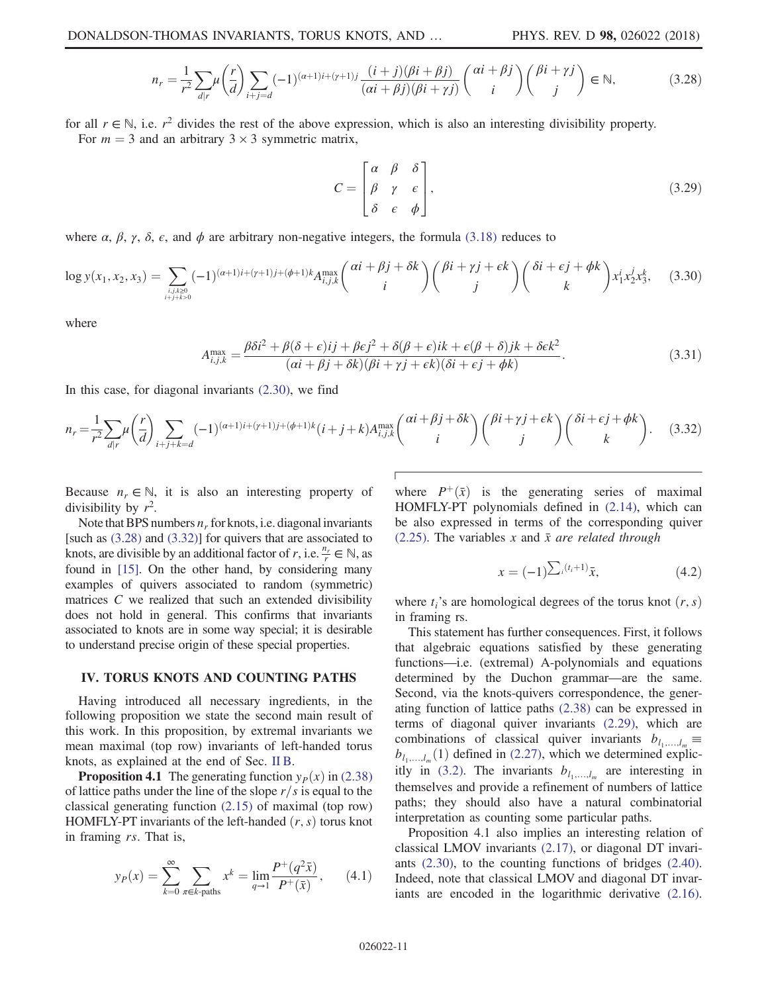$$
n_r = \frac{1}{r^2} \sum_{d|r} \mu\left(\frac{r}{d}\right) \sum_{i+j=d} (-1)^{(a+1)i+(r+1)j} \frac{(i+j)(\beta i+\beta j)}{(ai+\beta j)(\beta i+\gamma j)} \binom{ai+\beta j}{i} \binom{\beta i+\gamma j}{j} \in \mathbb{N},\tag{3.28}
$$

for all  $r \in \mathbb{N}$ , i.e.  $r^2$  divides the rest of the above expression, which is also an interesting divisibility property. For  $m = 3$  and an arbitrary  $3 \times 3$  symmetric matrix,

$$
C = \begin{bmatrix} \alpha & \beta & \delta \\ \beta & \gamma & \epsilon \\ \delta & \epsilon & \phi \end{bmatrix},
$$
 (3.29)

where  $\alpha$ ,  $\beta$ ,  $\gamma$ ,  $\delta$ ,  $\epsilon$ , and  $\phi$  are arbitrary non-negative integers, the formula [\(3.18\)](#page-9-1) reduces to

$$
\log y(x_1, x_2, x_3) = \sum_{i,j,k \ge 0 \atop i+j+k>0} (-1)^{(\alpha+1)i+(\gamma+1)j+(\phi+1)k} A_{i,j,k}^{\max} {\alpha i + \beta j + \delta k \choose i} {\beta i + \gamma j + \epsilon k \choose j} {\delta i + \epsilon j + \phi k \choose k} x_1^i x_2^j x_3^k, \quad (3.30)
$$

where

$$
A_{i,j,k}^{\max} = \frac{\beta \delta i^2 + \beta(\delta + \epsilon)ij + \beta \epsilon j^2 + \delta(\beta + \epsilon)ik + \epsilon(\beta + \delta)jk + \delta \epsilon k^2}{(\alpha i + \beta j + \delta k)(\beta i + \gamma j + \epsilon k)(\delta i + \epsilon j + \phi k)}.
$$
\n(3.31)

<span id="page-10-1"></span>In this case, for diagonal invariants [\(2.30\)](#page-5-2), we find

$$
n_r = \frac{1}{r^2} \sum_{d|r} \mu\left(\frac{r}{d}\right) \sum_{i+j+k=d} (-1)^{(a+1)i+(\gamma+1)j+(\phi+1)k} (i+j+k) A_{i,j,k}^{\max}\binom{ai+\beta j+\delta k}{i} \binom{\beta i+\gamma j+\epsilon k}{j} \binom{\delta i+\epsilon j+\phi k}{k}.
$$
 (3.32)

Because  $n_r \in \mathbb{N}$ , it is also an interesting property of divisibility by  $r^2$ .

Note that BPS numbers  $n_r$  for knots, i.e. diagonal invariants [such as [\(3.28\)](#page-9-2) and [\(3.32\)\]](#page-10-1) for quivers that are associated to knots, are divisible by an additional factor of r, i.e.  $\frac{n_r}{r} \in \mathbb{N}$ , as found in [\[15\].](#page-26-4) On the other hand, by considering many examples of quivers associated to random (symmetric) matrices C we realized that such an extended divisibility does not hold in general. This confirms that invariants associated to knots are in some way special; it is desirable to understand precise origin of these special properties.

## <span id="page-10-0"></span>IV. TORUS KNOTS AND COUNTING PATHS

Having introduced all necessary ingredients, in the following proposition we state the second main result of this work. In this proposition, by extremal invariants we mean maximal (top row) invariants of left-handed torus knots, as explained at the end of Sec. [II B.](#page-3-4)

<span id="page-10-2"></span>**Proposition 4.1** The generating function  $y_P(x)$  in [\(2.38\)](#page-5-1) of lattice paths under the line of the slope  $r/s$  is equal to the classical generating function [\(2.15\)](#page-3-0) of maximal (top row) HOMFLY-PT invariants of the left-handed  $(r, s)$  torus knot in framing rs. That is,

$$
y_P(x) = \sum_{k=0}^{\infty} \sum_{\pi \in k\text{-paths}} x^k = \lim_{q \to 1} \frac{P^+(q^2 \bar{x})}{P^+(\bar{x})},\qquad(4.1)
$$

where  $P^+(\bar{x})$  is the generating series of maximal HOMFLY-PT polynomials defined in [\(2.14\),](#page-3-3) which can be also expressed in terms of the corresponding quiver [\(2.25\)](#page-4-4). The variables x and  $\bar{x}$  are related through

$$
x = (-1)^{\sum_{i} (t_i + 1)} \bar{x}, \tag{4.2}
$$

where  $t_i$ 's are homological degrees of the torus knot  $(r, s)$ in framing rs.

This statement has further consequences. First, it follows that algebraic equations satisfied by these generating functions—i.e. (extremal) A-polynomials and equations determined by the Duchon grammar—are the same. Second, via the knots-quivers correspondence, the generating function of lattice paths [\(2.38\)](#page-5-1) can be expressed in terms of diagonal quiver invariants [\(2.29\)](#page-4-5), which are combinations of classical quiver invariants  $b_{l_1,...,l_m}$  $b_{l_1,...,l_m}(1)$  defined in [\(2.27\),](#page-4-2) which we determined explic-itly in [\(3.2\)](#page-7-3). The invariants  $b_{l_1,...,l_m}$  are interesting in themselves and provide a refinement of numbers of lattice paths; they should also have a natural combinatorial interpretation as counting some particular paths.

Proposition 4.1 also implies an interesting relation of classical LMOV invariants [\(2.17\),](#page-3-5) or diagonal DT invariants [\(2.30\),](#page-5-2) to the counting functions of bridges [\(2.40\)](#page-6-3). Indeed, note that classical LMOV and diagonal DT invariants are encoded in the logarithmic derivative [\(2.16\)](#page-3-6).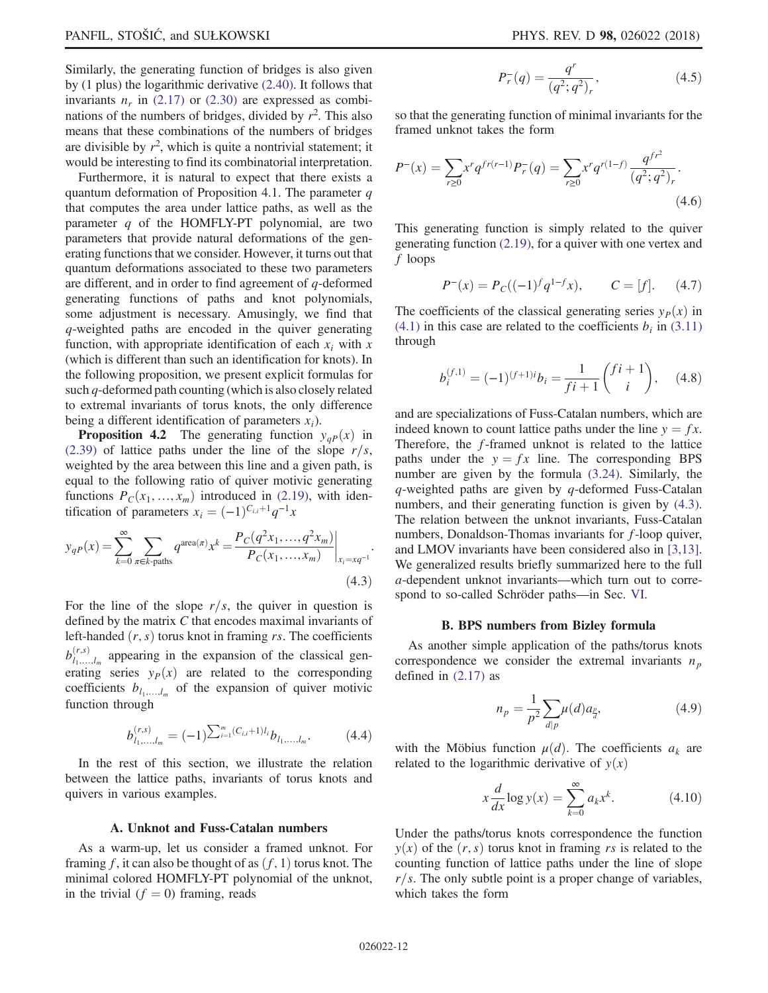Similarly, the generating function of bridges is also given by (1 plus) the logarithmic derivative [\(2.40\).](#page-6-3) It follows that invariants  $n_r$  in [\(2.17\)](#page-3-5) or [\(2.30\)](#page-5-2) are expressed as combinations of the numbers of bridges, divided by  $r^2$ . This also means that these combinations of the numbers of bridges are divisible by  $r^2$ , which is quite a nontrivial statement; it would be interesting to find its combinatorial interpretation.

Furthermore, it is natural to expect that there exists a quantum deformation of Proposition 4.1. The parameter  $q$ that computes the area under lattice paths, as well as the parameter  $q$  of the HOMFLY-PT polynomial, are two parameters that provide natural deformations of the generating functions that we consider. However, it turns out that quantum deformations associated to these two parameters are different, and in order to find agreement of q-deformed generating functions of paths and knot polynomials, some adjustment is necessary. Amusingly, we find that q-weighted paths are encoded in the quiver generating function, with appropriate identification of each  $x_i$  with x (which is different than such an identification for knots). In the following proposition, we present explicit formulas for such q-deformed path counting (which is also closely related to extremal invariants of torus knots, the only difference being a different identification of parameters  $x_i$ ).

**Proposition 4.2** The generating function  $y_{ap}(x)$  in [\(2.39\)](#page-5-3) of lattice paths under the line of the slope  $r/s$ , weighted by the area between this line and a given path, is equal to the following ratio of quiver motivic generating functions  $P_c(x_1, ..., x_m)$  introduced in [\(2.19\)](#page-3-2), with identification of parameters  $x_i = (-1)^{C_{i,i}+1}q^{-1}x$ 

<span id="page-11-0"></span>
$$
y_{qP}(x) = \sum_{k=0}^{\infty} \sum_{\pi \in k\text{-paths}} q^{\text{area}(\pi)} x^k = \frac{P_C(q^2 x_1, ..., q^2 x_m)}{P_C(x_1, ..., x_m)} \Big|_{x_i = xq^{-1}}.
$$
\n(4.3)

For the line of the slope  $r/s$ , the quiver in question is defined by the matrix C that encodes maximal invariants of left-handed  $(r, s)$  torus knot in framing rs. The coefficients  $b_{l_1,...,l_m}^{(r,s)}$  appearing in the expansion of the classical generating series  $y_P(x)$  are related to the corresponding coefficients  $b_{l_1,...,l_m}$  of the expansion of quiver motivic function through

$$
b_{l_1,...,l_m}^{(r,s)} = (-1)^{\sum_{i=1}^m (C_{i,i}+1)l_i} b_{l_1,...,l_m}.
$$
 (4.4)

In the rest of this section, we illustrate the relation between the lattice paths, invariants of torus knots and quivers in various examples.

## A. Unknot and Fuss-Catalan numbers

<span id="page-11-1"></span>As a warm-up, let us consider a framed unknot. For framing f, it can also be thought of as  $(f, 1)$  torus knot. The minimal colored HOMFLY-PT polynomial of the unknot, in the trivial  $(f = 0)$  framing, reads

$$
P_r^-(q) = \frac{q^r}{(q^2;q^2)_r},\tag{4.5}
$$

so that the generating function of minimal invariants for the framed unknot takes the form

$$
P^{-}(x) = \sum_{r\geq 0} x^{r} q^{fr(r-1)} P_{r}^{-}(q) = \sum_{r\geq 0} x^{r} q^{r(1-f)} \frac{q^{fr^{2}}}{(q^{2};q^{2})_{r}}.
$$
\n(4.6)

This generating function is simply related to the quiver generating function [\(2.19\)](#page-3-2), for a quiver with one vertex and f loops

$$
P^{-}(x) = P_C((-1)^f q^{1-f} x), \qquad C = [f]. \qquad (4.7)
$$

The coefficients of the classical generating series  $y_P(x)$  in  $(4.1)$  in this case are related to the coefficients  $b_i$  in  $(3.11)$ through

$$
b_i^{(f,1)} = (-1)^{(f+1)i} b_i = \frac{1}{fi+1} \binom{fi+1}{i}, \quad (4.8)
$$

and are specializations of Fuss-Catalan numbers, which are indeed known to count lattice paths under the line  $y = fx$ . Therefore, the f-framed unknot is related to the lattice paths under the  $y = fx$  line. The corresponding BPS number are given by the formula [\(3.24\)](#page-9-3). Similarly, the  $q$ -weighted paths are given by  $q$ -deformed Fuss-Catalan numbers, and their generating function is given by  $(4.3)$ . The relation between the unknot invariants, Fuss-Catalan numbers, Donaldson-Thomas invariants for f-loop quiver, and LMOV invariants have been considered also in [\[3,13\]](#page-26-1). We generalized results briefly summarized here to the full a-dependent unknot invariants—which turn out to correspond to so-called Schröder paths—in Sec. [VI.](#page-24-0)

#### B. BPS numbers from Bizley formula

As another simple application of the paths/torus knots correspondence we consider the extremal invariants  $n_p$ defined in [\(2.17\)](#page-3-5) as

$$
n_p = \frac{1}{p^2} \sum_{d|p} \mu(d) a_{\frac{p}{d}},
$$
\n(4.9)

with the Möbius function  $\mu(d)$ . The coefficients  $a_k$  are related to the logarithmic derivative of  $y(x)$ 

$$
x\frac{d}{dx}\log y(x) = \sum_{k=0}^{\infty} a_k x^k.
$$
 (4.10)

Under the paths/torus knots correspondence the function  $y(x)$  of the  $(r, s)$  torus knot in framing rs is related to the counting function of lattice paths under the line of slope  $r/s$ . The only subtle point is a proper change of variables, which takes the form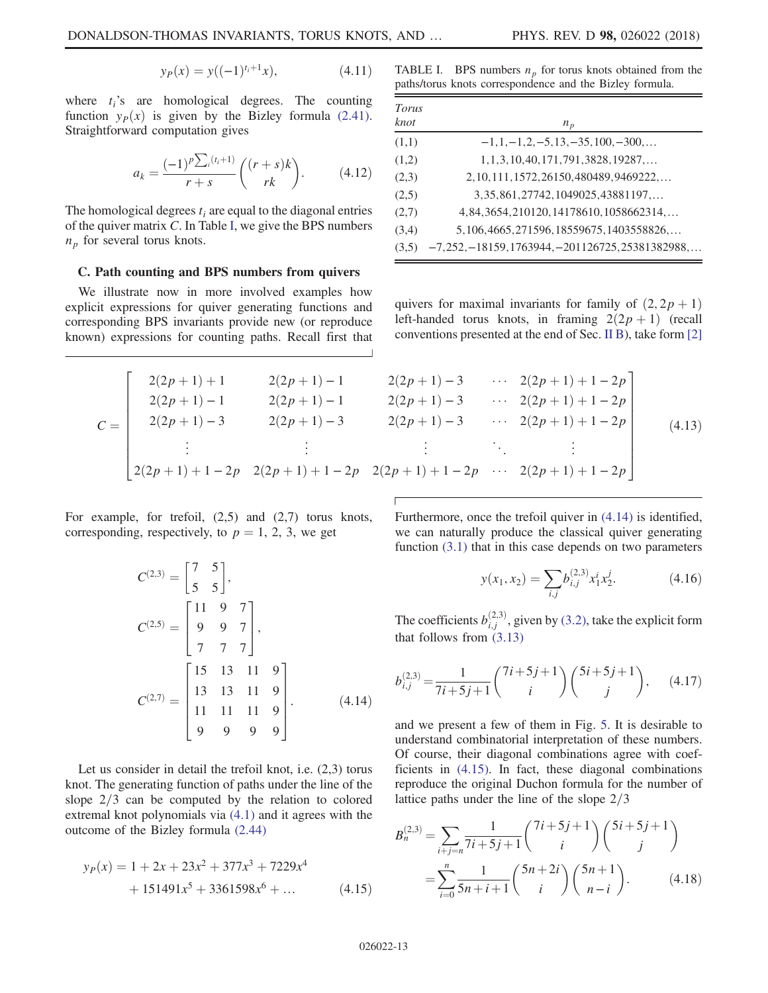$$
y_P(x) = y((-1)^{t_i+1}x), \tag{4.11}
$$

where  $t_i$ 's are homological degrees. The counting function  $y_P(x)$  is given by the Bizley formula [\(2.41\)](#page-6-6). Straightforward computation gives

$$
a_k = \frac{(-1)^p \sum_i (t_i + 1)}{r + s} \binom{(r + s)k}{rk}.
$$
 (4.12)

The homological degrees  $t_i$  are equal to the diagonal entries of the quiver matrix C. In Table [I,](#page-12-2) we give the BPS numbers  $n_p$  for several torus knots.

## C. Path counting and BPS numbers from quivers

We illustrate now in more involved examples how explicit expressions for quiver generating functions and corresponding BPS invariants provide new (or reproduce known) expressions for counting paths. Recall first that

<span id="page-12-2"></span>TABLE I. BPS numbers  $n_p$  for torus knots obtained from the paths/torus knots correspondence and the Bizley formula.

| Torus<br>knot | $n_p$                                            |
|---------------|--------------------------------------------------|
| (1,1)         | $-1, 1, -1, 2, -5, 13, -35, 100, -300, \dots$    |
| (1,2)         | $1, 1, 3, 10, 40, 171, 791, 3828, 19287, \ldots$ |
| (2,3)         | 2, 10, 111, 1572, 26150, 480489, 9469222,        |
| (2,5)         | 3, 35, 861, 27742, 1049025, 43881197,            |
| (2,7)         | 4, 84, 3654, 210120, 14178610, 1058662314,       |
| (3,4)         | 5, 106, 4665, 271596, 18559675, 1403558826,      |
| (3,5)         | $-7,252,-18159,1763944,-201126725,25381382988,$  |

quivers for maximal invariants for family of  $(2, 2p + 1)$ left-handed torus knots, in framing  $2(2p + 1)$  (recall conventions presented at the end of Sec. [II B\)](#page-3-4), take form [\[2\]](#page-26-12)

<span id="page-12-0"></span>
$$
C = \begin{bmatrix} 2(2p+1)+1 & 2(2p+1)-1 & 2(2p+1)-3 & \cdots & 2(2p+1)+1-2p \\ 2(2p+1)-1 & 2(2p+1)-1 & 2(2p+1)-3 & \cdots & 2(2p+1)+1-2p \\ 2(2p+1)-3 & 2(2p+1)-3 & 2(2p+1)-3 & \cdots & 2(2p+1)+1-2p \\ \vdots & \vdots & \vdots & \ddots & \vdots \\ 2(2p+1)+1-2p & 2(2p+1)+1-2p & 2(2p+1)+1-2p & \cdots & 2(2p+1)+1-2p \end{bmatrix}
$$
(4.13)

<span id="page-12-1"></span>For example, for trefoil, (2,5) and (2,7) torus knots, corresponding, respectively, to  $p = 1, 2, 3$ , we get

$$
C^{(2,3)} = \begin{bmatrix} 7 & 5 \\ 5 & 5 \end{bmatrix},
$$
  
\n
$$
C^{(2,5)} = \begin{bmatrix} 11 & 9 & 7 \\ 9 & 9 & 7 \\ 7 & 7 & 7 \end{bmatrix},
$$
  
\n
$$
C^{(2,7)} = \begin{bmatrix} 15 & 13 & 11 & 9 \\ 13 & 13 & 11 & 9 \\ 11 & 11 & 11 & 9 \\ 9 & 9 & 9 & 9 \end{bmatrix}.
$$
 (4.14)

<span id="page-12-3"></span>Let us consider in detail the trefoil knot, i.e. (2,3) torus knot. The generating function of paths under the line of the slope  $2/3$  can be computed by the relation to colored extremal knot polynomials via [\(4.1\)](#page-10-2) and it agrees with the outcome of the Bizley formula [\(2.44\)](#page-6-4)

$$
y_P(x) = 1 + 2x + 23x^2 + 377x^3 + 7229x^4
$$
  
+ 151491x<sup>5</sup> + 3361598x<sup>6</sup> + ... (4.15)

Furthermore, once the trefoil quiver in [\(4.14\)](#page-12-1) is identified, we can naturally produce the classical quiver generating function [\(3.1\)](#page-7-1) that in this case depends on two parameters

$$
y(x_1, x_2) = \sum_{i,j} b_{i,j}^{(2,3)} x_1^i x_2^j.
$$
 (4.16)

The coefficients  $b_{i,j}^{(2,3)}$ , given by [\(3.2\)](#page-7-3), take the explicit form that follows from [\(3.13\)](#page-8-2)

$$
b_{i,j}^{(2,3)} = \frac{1}{7i+5j+1} \binom{7i+5j+1}{i} \binom{5i+5j+1}{j}, \quad (4.17)
$$

and we present a few of them in Fig. [5](#page-13-0). It is desirable to understand combinatorial interpretation of these numbers. Of course, their diagonal combinations agree with coefficients in [\(4.15\).](#page-12-3) In fact, these diagonal combinations reproduce the original Duchon formula for the number of lattice paths under the line of the slope  $2/3$ 

$$
B_n^{(2,3)} = \sum_{i+j=n} \frac{1}{7i+5j+1} {7i+5j+1 \choose i} {5i+5j+1 \choose j}
$$
  
= 
$$
\sum_{i=0}^n \frac{1}{5n+i+1} {5n+2i \choose i} {5n+1 \choose n-i}.
$$
 (4.18)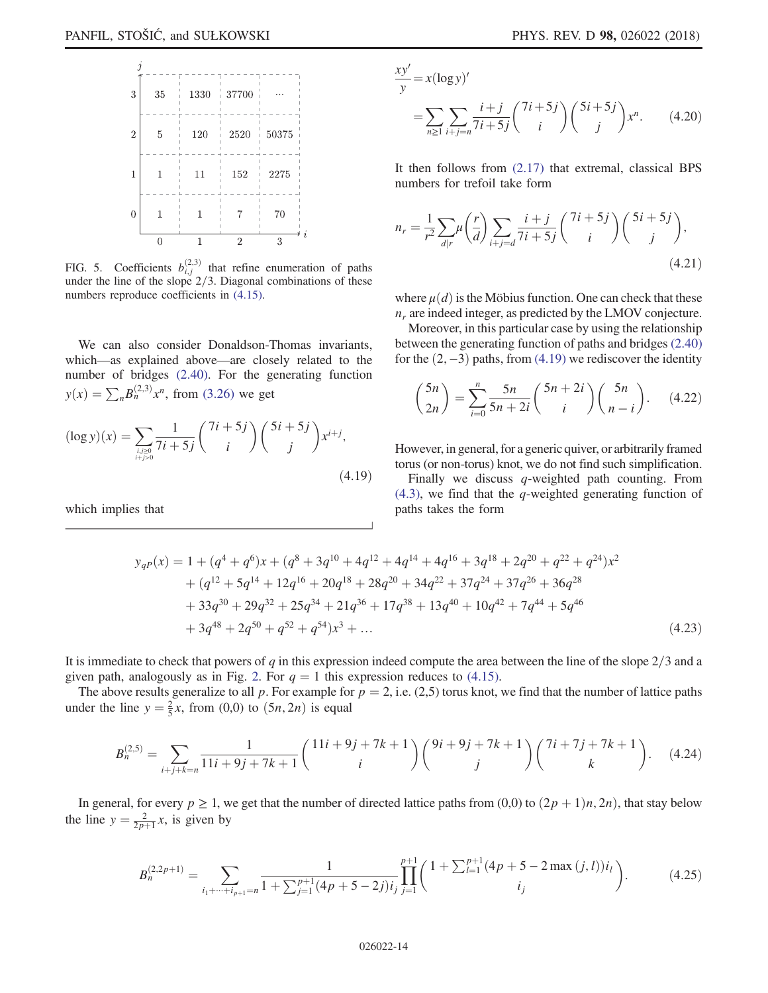<span id="page-13-0"></span>

FIG. 5. Coefficients  $b_{i,j}^{(2,3)}$  that refine enumeration of paths under the line of the slope  $2/3$ . Diagonal combinations of these numbers reproduce coefficients in [\(4.15\)](#page-12-3).

<span id="page-13-1"></span>We can also consider Donaldson-Thomas invariants, which—as explained above—are closely related to the number of bridges [\(2.40\).](#page-6-3) For the generating function  $y(x) = \sum_{n} B_n^{(2,3)} x^n$ , from [\(3.26\)](#page-9-4) we get

$$
(\log y)(x) = \sum_{\substack{i,j\geq 0\\i+j>0}} \frac{1}{7i+5j} {7i+5j \choose i} {5i+5j \choose j} x^{i+j},
$$
\n(4.19)

which implies that

$$
\frac{xy'}{y} = x(\log y)'
$$
  
=  $\sum_{n\geq 1} \sum_{i+j=n} \frac{i+j}{7i+5j} {7i+5j \choose i} {5i+5j \choose j} x^n$ . (4.20)

It then follows from [\(2.17\)](#page-3-5) that extremal, classical BPS numbers for trefoil take form

$$
n_r = \frac{1}{r^2} \sum_{d|r} \mu\left(\frac{r}{d}\right) \sum_{i+j=d} \frac{i+j}{7i+5j} \binom{7i+5j}{i} \binom{5i+5j}{j},\tag{4.21}
$$

where  $\mu$ (*d*) is the Möbius function. One can check that these  $n<sub>r</sub>$  are indeed integer, as predicted by the LMOV conjecture.

<span id="page-13-2"></span>Moreover, in this particular case by using the relationship between the generating function of paths and bridges [\(2.40\)](#page-6-3) for the  $(2, -3)$  paths, from  $(4.19)$  we rediscover the identity

$$
\binom{5n}{2n} = \sum_{i=0}^{n} \frac{5n}{5n+2i} \binom{5n+2i}{i} \binom{5n}{n-i}.
$$
 (4.22)

However, in general, for a generic quiver, or arbitrarily framed torus (or non-torus) knot, we do not find such simplification.

Finally we discuss  $q$ -weighted path counting. From  $(4.3)$ , we find that the q-weighted generating function of paths takes the form

$$
y_{qP}(x) = 1 + (q^4 + q^6)x + (q^8 + 3q^{10} + 4q^{12} + 4q^{14} + 4q^{16} + 3q^{18} + 2q^{20} + q^{22} + q^{24})x^2
$$
  
+ 
$$
(q^{12} + 5q^{14} + 12q^{16} + 20q^{18} + 28q^{20} + 34q^{22} + 37q^{24} + 37q^{26} + 36q^{28}
$$
  
+ 
$$
33q^{30} + 29q^{32} + 25q^{34} + 21q^{36} + 17q^{38} + 13q^{40} + 10q^{42} + 7q^{44} + 5q^{46}
$$
  
+ 
$$
3q^{48} + 2q^{50} + q^{52} + q^{54})x^3 + ...
$$
 (4.23)

It is immediate to check that powers of q in this expression indeed compute the area between the line of the slope  $2/3$  and a given path, analogously as in Fig. [2](#page-6-0). For  $q = 1$  this expression reduces to [\(4.15\).](#page-12-3)

The above results generalize to all p. For example for  $p = 2$ , i.e. (2,5) torus knot, we find that the number of lattice paths under the line  $y = \frac{2}{5}x$ , from (0,0) to  $(5n, 2n)$  is equal

$$
B_n^{(2,5)} = \sum_{i+j+k=n} \frac{1}{11i+9j+7k+1} {11i+9j+7k+1 \choose i} {9i+9j+7k+1 \choose j} {7i+7j+7k+1 \choose k}. \quad (4.24)
$$

In general, for every  $p \ge 1$ , we get that the number of directed lattice paths from (0,0) to  $(2p + 1)n$ , 2n), that stay below the line  $y = \frac{2}{2p+1}x$ , is given by

$$
B_n^{(2,2p+1)} = \sum_{i_1 + \dots + i_{p+1} = n} \frac{1}{1 + \sum_{j=1}^{p+1} (4p + 5 - 2j)i_j} \prod_{j=1}^{p+1} {1 + \sum_{l=1}^{p+1} (4p + 5 - 2 \max_j (j,l))i_l \choose i_j}.
$$
 (4.25)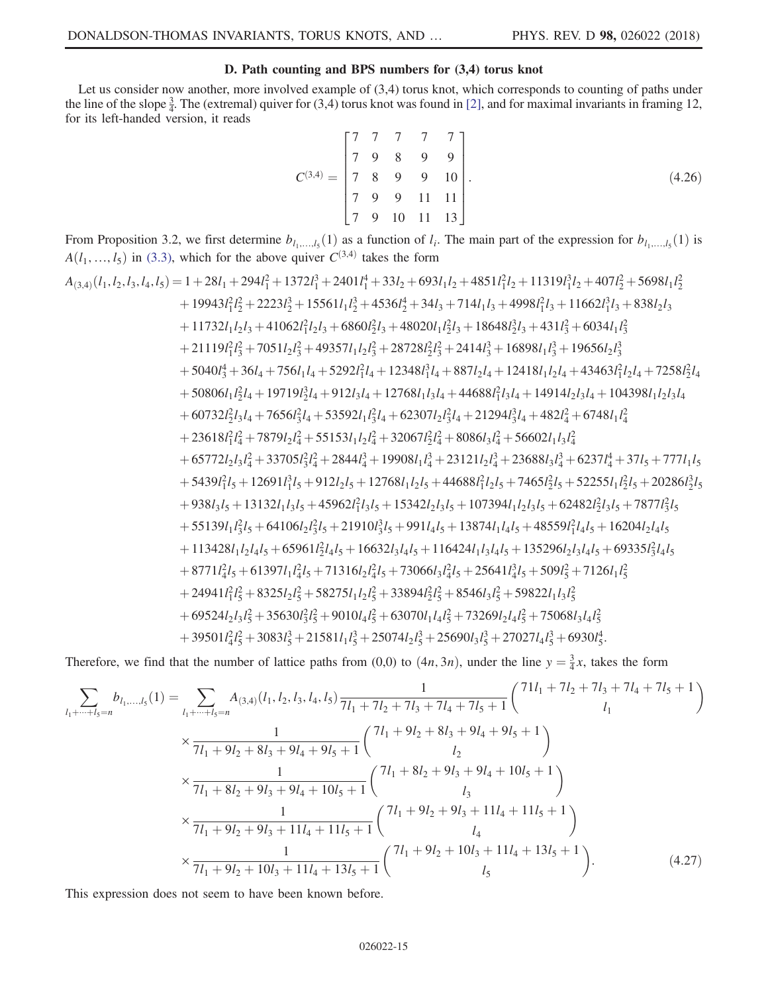## D. Path counting and BPS numbers for (3,4) torus knot

<span id="page-14-0"></span>Let us consider now another, more involved example of (3,4) torus knot, which corresponds to counting of paths under the line of the slope  $\frac{3}{4}$ . The (extremal) quiver for (3,4) torus knot was found in [\[2\],](#page-26-12) and for maximal invariants in framing 12, for its left-handed version, it reads

$$
C^{(3,4)} = \begin{bmatrix} 7 & 7 & 7 & 7 & 7 \\ 7 & 9 & 8 & 9 & 9 \\ 7 & 8 & 9 & 9 & 10 \\ 7 & 9 & 9 & 11 & 11 \\ 7 & 9 & 10 & 11 & 13 \end{bmatrix} . \tag{4.26}
$$

From Proposition 3.2, we first determine  $b_{l_1,...,l_5}(1)$  as a function of  $l_i$ . The main part of the expression for  $b_{l_1,...,l_5}(1)$  is  $\Delta(l, l, l)$  in  $(2, 3)$ , which for the eboys quiver  $C^{(3,4)}$  tekes the form  $A(l_1, ..., l_5)$  in [\(3.3\),](#page-7-2) which for the above quiver  $C^{(3,4)}$  takes the form

$$
A_{(3,4)}(l_1, l_2, l_3, l_4, l_5) = 1 + 28l_1 + 294l_1^2 + 1372l_1^3 + 2401l_1^4 + 33l_2 + 693l_1l_2 + 4851l_1^2l_2 + 11319l_1^3l_2 + 407l_2^2 + 5698l_1l_2^2 + 19943l_1^2l_2^2 + 2223l_2^3 + 15561l_1l_2^3 + 43636l_2^4 + 34l_3 + 714l_1l_3 + 4998l_1^2l_3 + 11662l_1^3l_3 + 838l_2l_3 + 11732l_1l_2l_3 + 41062l_1^2l_2l_3 + 6860l_2^2l_3 + 48020l_1l_2^2l_3 + 18648l_2^3l_3 + 431l_3^2 + 6034l_1l_3^2 + 21119l_1^2l_3^2 + 7051l_2l_3^2 + 49357l_1l_2l_3^2 + 28728l_2^2l_3^2 + 2414l_3^3 + 16898l_1l_3^3 + 19656l_2l_3^3 + 5040l_3^4 + 36l_4 + 756l_1l_4 + 5292l_1^2l_4 + 12348l_1^3l_4 + 887l_2l_4 + 12418l_1l_2l_4 + 43463l_1^2l_2l_4 + 7258l_2^2l_4 + 56060l_1l_2^2l_4 + 19719l_2^3l_4 + 912l_3l_4 + 12768l_1l_3l_4 + 44688l_1^2l_3l_4 + 14914l_2l_3l_4 + 104398l_1l_2l_3l_4 + 60732l_2^2l_3l_4 + 7656l_3^2l_4 + 53552l_1l_3^2l_4 + 62307l_2l_
$$

Therefore, we find that the number of lattice paths from (0,0) to  $(4n, 3n)$ , under the line  $y = \frac{3}{4}x$ , takes the form

$$
\sum_{l_1+\dots+l_5=n} b_{l_1,\dots,l_5}(1) = \sum_{l_1+\dots+l_5=n} A_{(3,4)}(l_1, l_2, l_3, l_4, l_5) \frac{1}{7l_1 + 7l_2 + 7l_3 + 7l_4 + 7l_5 + 1} \binom{71l_1 + 7l_2 + 7l_3 + 7l_4 + 7l_5 + 1}{l_1} \binom{1}{l_1} \times \frac{1}{7l_1 + 9l_2 + 8l_3 + 9l_4 + 9l_5 + 1} \binom{7l_1 + 9l_2 + 8l_3 + 9l_4 + 9l_5 + 1}{l_2} \times \frac{1}{7l_1 + 8l_2 + 9l_3 + 9l_4 + 10l_5 + 1} \binom{7l_1 + 8l_2 + 9l_3 + 9l_4 + 10l_5 + 1}{l_3} \times \frac{1}{7l_1 + 9l_2 + 9l_3 + 11l_4 + 11l_5 + 1} \binom{7l_1 + 9l_2 + 9l_3 + 11l_4 + 11l_5 + 1}{l_4} \times \frac{1}{7l_1 + 9l_2 + 10l_3 + 11l_4 + 13l_5 + 1} \binom{7l_1 + 9l_2 + 10l_3 + 11l_4 + 13l_5 + 1}{l_5} \times \frac{1}{7l_1 + 9l_2 + 10l_3 + 11l_4 + 13l_5 + 1} \binom{7l_1 + 9l_2 + 10l_3 + 11l_4 + 13l_5 + 1}{l_5} \tag{4.27}
$$

This expression does not seem to have been known before.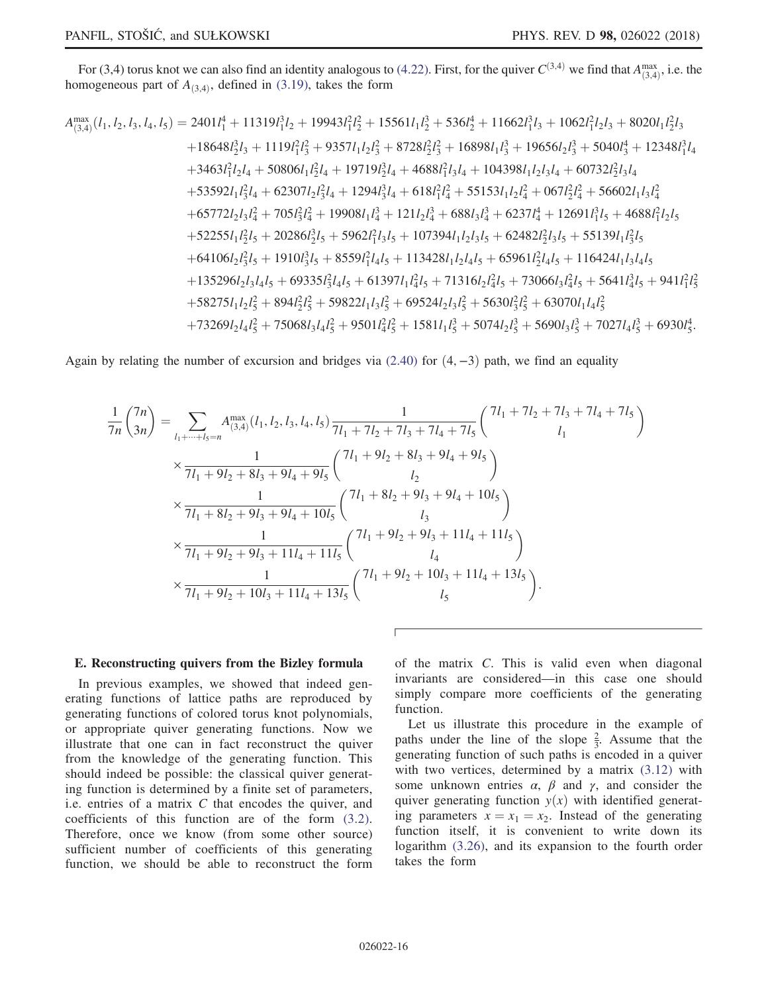For (3,4) torus knot we can also find an identity analogous to [\(4.22\).](#page-13-2) First, for the quiver  $C^{(3,4)}$  we find that  $A_{(3,4)}^{\text{max}}$ , i.e. the mogeneous part of  $A_{(2,4)}$  defined in (3.19) takes the form homogeneous part of  $A_{(3,4)}$ , defined in [\(3.19\),](#page-9-0) takes the form

$$
A_{(3,4)}^{\text{max}}(l_1, l_2, l_3, l_4, l_5) = 2401l_1^4 + 11319l_1^3l_2 + 19943l_1^2l_2^2 + 15561l_1l_2^3 + 536l_2^4 + 11662l_1^3l_3 + 1062l_1^2l_2l_3 + 8020l_1l_2^2l_3 + 18648l_2^3l_3 + 1119l_1^2l_3^2 + 9357l_1l_2l_3^2 + 8728l_2^2l_3^2 + 16898l_1l_3^3 + 19656l_2l_3^3 + 5040l_3^4 + 12348l_1^3l_4 + 3463l_1^2l_2l_4 + 50806l_1l_2^2l_4 + 19719l_2^3l_4 + 4688l_1^2l_3l_4 + 104398l_1l_2l_3l_4 + 60732l_2^2l_3l_4 + 53592l_1l_3^2l_4 + 62307l_2l_3^2l_4 + 1294l_3^3l_4 + 618l_1^2l_4^2 + 55153l_1l_2l_4^2 + 067l_2^2l_4^2 + 56602l_1l_3l_4^2 + 65772l_2l_3l_4^2 + 705l_3^2l_4^2 + 19908l_1l_4^3 + 121l_2l_4^3 + 688l_3l_4^3 + 6237l_4^4 + 12691l_1^3l_5 + 4688l_1^2l_2l_5 + 52255l_1l_2^2l_5 + 20286l_2^3l_5 + 5962l_1^2l_3l_5 + 107394l_1l_2l_3l_5 + 62482l_2^2l_3l_5 + 55139l_1l_3^2l_5 + 64106l_2l_3^2l_5 + 1910l_3^3l_5
$$

Again by relating the number of excursion and bridges via  $(2.40)$  for  $(4, -3)$  path, we find an equality

$$
\frac{1}{7n} {7n \choose 3n} = \sum_{l_1 + \dots + l_5 = n} A_{(3,4)}^{\max} (l_1, l_2, l_3, l_4, l_5) \frac{1}{7l_1 + 7l_2 + 7l_3 + 7l_4 + 7l_5} \begin{pmatrix} 7l_1 + 7l_2 + 7l_3 + 7l_4 + 7l_5 \\ l_1 \end{pmatrix}
$$
  
\n
$$
\times \frac{1}{7l_1 + 9l_2 + 8l_3 + 9l_4 + 9l_5} \begin{pmatrix} 7l_1 + 9l_2 + 8l_3 + 9l_4 + 9l_5 \\ l_2 \end{pmatrix}
$$
  
\n
$$
\times \frac{1}{7l_1 + 8l_2 + 9l_3 + 9l_4 + 10l_5} \begin{pmatrix} 7l_1 + 8l_2 + 9l_3 + 9l_4 + 10l_5 \\ l_3 \end{pmatrix}
$$
  
\n
$$
\times \frac{1}{7l_1 + 9l_2 + 9l_3 + 11l_4 + 11l_5} \begin{pmatrix} 7l_1 + 9l_2 + 9l_3 + 11l_4 + 11l_5 \\ l_4 \end{pmatrix}
$$
  
\n
$$
\times \frac{1}{7l_1 + 9l_2 + 10l_3 + 11l_4 + 13l_5} \begin{pmatrix} 7l_1 + 9l_2 + 10l_3 + 11l_4 + 13l_5 \\ l_5 \end{pmatrix}.
$$

### E. Reconstructing quivers from the Bizley formula

In previous examples, we showed that indeed generating functions of lattice paths are reproduced by generating functions of colored torus knot polynomials, or appropriate quiver generating functions. Now we illustrate that one can in fact reconstruct the quiver from the knowledge of the generating function. This should indeed be possible: the classical quiver generating function is determined by a finite set of parameters, i.e. entries of a matrix  $C$  that encodes the quiver, and coefficients of this function are of the form [\(3.2\)](#page-7-3). Therefore, once we know (from some other source) sufficient number of coefficients of this generating function, we should be able to reconstruct the form of the matrix C. This is valid even when diagonal invariants are considered—in this case one should simply compare more coefficients of the generating function.

Let us illustrate this procedure in the example of paths under the line of the slope  $\frac{2}{3}$ . Assume that the generating function of such paths is encoded in a quiver with two vertices, determined by a matrix  $(3.12)$  with some unknown entries  $\alpha$ ,  $\beta$  and  $\gamma$ , and consider the quiver generating function  $y(x)$  with identified generating parameters  $x = x_1 = x_2$ . Instead of the generating function itself, it is convenient to write down its logarithm [\(3.26\),](#page-9-4) and its expansion to the fourth order takes the form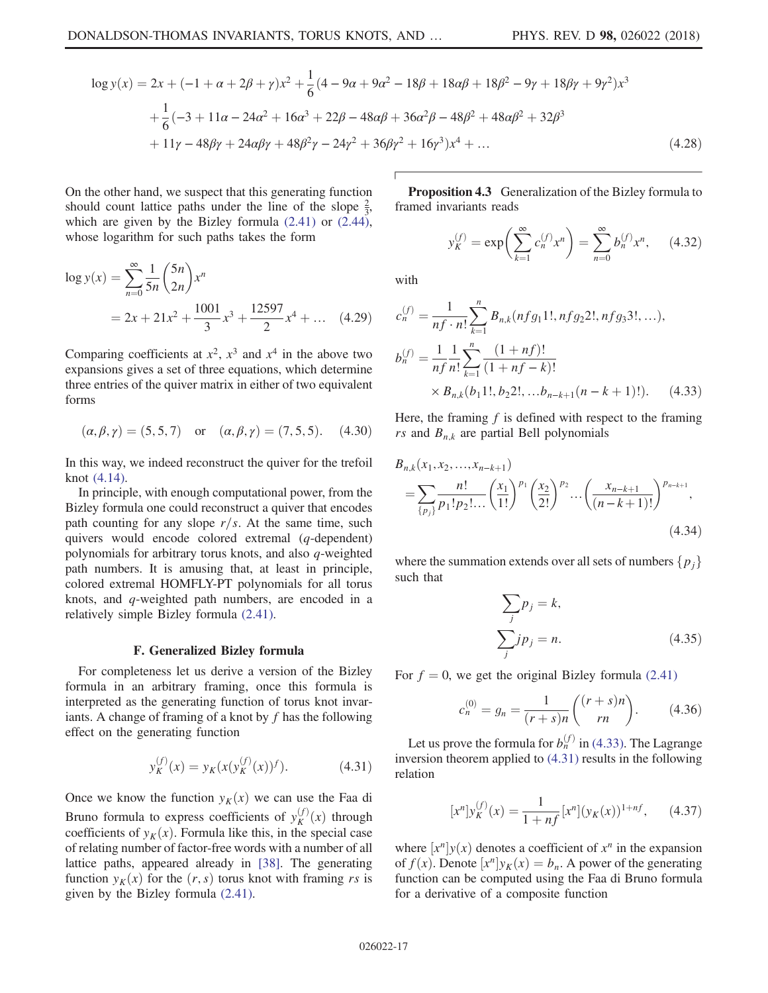$$
\log y(x) = 2x + (-1 + \alpha + 2\beta + \gamma)x^{2} + \frac{1}{6}(4 - 9\alpha + 9\alpha^{2} - 18\beta + 18\alpha\beta + 18\beta^{2} - 9\gamma + 18\beta\gamma + 9\gamma^{2})x^{3}
$$
  
+  $\frac{1}{6}(-3 + 11\alpha - 24\alpha^{2} + 16\alpha^{3} + 22\beta - 48\alpha\beta + 36\alpha^{2}\beta - 48\beta^{2} + 48\alpha\beta^{2} + 32\beta^{3}$   
+  $11\gamma - 48\beta\gamma + 24\alpha\beta\gamma + 48\beta^{2}\gamma - 24\gamma^{2} + 36\beta\gamma^{2} + 16\gamma^{3})x^{4} + ...$  (4.28)

On the other hand, we suspect that this generating function should count lattice paths under the line of the slope  $\frac{2}{3}$ , which are given by the Bizley formula [\(2.41\)](#page-6-6) or [\(2.44\)](#page-6-4), whose logarithm for such paths takes the form

$$
\log y(x) = \sum_{n=0}^{\infty} \frac{1}{5n} {5n \choose 2n} x^n
$$
  
= 2x + 21x<sup>2</sup> +  $\frac{1001}{3}x^3 + \frac{12597}{2}x^4 + ...$  (4.29)

Comparing coefficients at  $x^2$ ,  $x^3$  and  $x^4$  in the above two expansions gives a set of three equations, which determine three entries of the quiver matrix in either of two equivalent forms

$$
(\alpha, \beta, \gamma) = (5, 5, 7)
$$
 or  $(\alpha, \beta, \gamma) = (7, 5, 5)$ . (4.30)

In this way, we indeed reconstruct the quiver for the trefoil knot [\(4.14\)](#page-12-1).

In principle, with enough computational power, from the Bizley formula one could reconstruct a quiver that encodes path counting for any slope  $r/s$ . At the same time, such quivers would encode colored extremal (q-dependent) polynomials for arbitrary torus knots, and also q-weighted path numbers. It is amusing that, at least in principle, colored extremal HOMFLY-PT polynomials for all torus knots, and q-weighted path numbers, are encoded in a relatively simple Bizley formula [\(2.41\).](#page-6-6)

#### F. Generalized Bizley formula

<span id="page-16-1"></span>For completeness let us derive a version of the Bizley formula in an arbitrary framing, once this formula is interpreted as the generating function of torus knot invariants. A change of framing of a knot by  $f$  has the following effect on the generating function

$$
y_K^{(f)}(x) = y_K(x(y_K^{(f)}(x))^f).
$$
 (4.31)

Once we know the function  $y_K(x)$  we can use the Faa di Bruno formula to express coefficients of  $y_K^{(f)}(x)$  through<br>coefficients of  $y_K(x)$ . Formula like this, in the special case coefficients of  $y_K(x)$ . Formula like this, in the special case of relating number of factor-free words with a number of all lattice paths, appeared already in [\[38\]](#page-27-10). The generating function  $y_k(x)$  for the  $(r, s)$  torus knot with framing rs is given by the Bizley formula [\(2.41\)](#page-6-6).

**Proposition 4.3** Generalization of the Bizley formula to framed invariants reads

$$
y_K^{(f)} = \exp\left(\sum_{k=1}^{\infty} c_n^{(f)} x^n\right) = \sum_{n=0}^{\infty} b_n^{(f)} x^n, \quad (4.32)
$$

<span id="page-16-0"></span>with

$$
c_n^{(f)} = \frac{1}{nf \cdot n!} \sum_{k=1}^n B_{n,k}(nf g_1 1!, nf g_2 2!, nf g_3 3!,...),
$$
  
\n
$$
b_n^{(f)} = \frac{1}{nf} \frac{1}{n!} \sum_{k=1}^n \frac{(1 + nf)!}{(1 + nf - k)!}
$$
  
\n
$$
\times B_{n,k}(b_1 1!, b_2 2!, ... b_{n-k+1}(n - k + 1)!).
$$
 (4.33)

Here, the framing  $f$  is defined with respect to the framing rs and  $B_{n,k}$  are partial Bell polynomials

$$
B_{n,k}(x_1, x_2, \dots, x_{n-k+1})
$$
  
=  $\sum_{\{p_j\}} \frac{n!}{p_1! p_2! \dots} \left(\frac{x_1}{1!}\right)^{p_1} \left(\frac{x_2}{2!}\right)^{p_2} \dots \left(\frac{x_{n-k+1}}{(n-k+1)!}\right)^{p_{n-k+1}},$   
(4.34)

where the summation extends over all sets of numbers  $\{p_i\}$ such that

$$
\sum_{j} p_{j} = k,
$$
  

$$
\sum_{j} j p_{j} = n.
$$
 (4.35)

For  $f = 0$ , we get the original Bizley formula [\(2.41\)](#page-6-6)

$$
c_n^{(0)} = g_n = \frac{1}{(r+s)n} \binom{(r+s)n}{rn}.
$$
 (4.36)

<span id="page-16-2"></span>Let us prove the formula for  $b_n^{(f)}$  in [\(4.33\)](#page-16-0). The Lagrange inversion theorem applied to [\(4.31\)](#page-16-1) results in the following relation

$$
[x^{n}]y_{K}^{(f)}(x) = \frac{1}{1 + nf}[x^{n}](y_{K}(x))^{1 + nf}, \qquad (4.37)
$$

where  $[x^n]y(x)$  denotes a coefficient of  $x^n$  in the expansion of  $f(x)$ . Denote  $[x^n]y_K(x) = b_n$ . A power of the generating function can be computed using the Faa di Bruno formula for a derivative of a composite function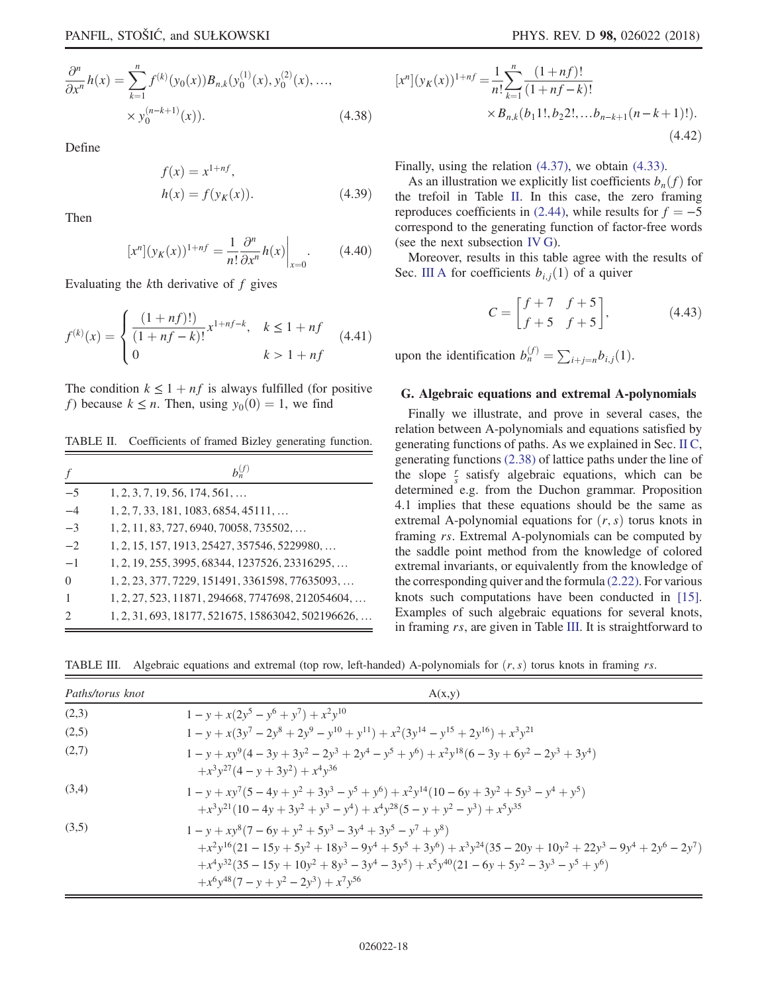$$
\frac{\partial^n}{\partial x^n} h(x) = \sum_{k=1}^n f^{(k)}(y_0(x)) B_{n,k}(y_0^{(1)}(x), y_0^{(2)}(x), ...,
$$
  
 
$$
\times y_0^{(n-k+1)}(x)).
$$
 (4.38)

Define

$$
f(x) = x^{1+n}.
$$
  
 
$$
h(x) = f(y_K(x)).
$$
 (4.39)

Then

$$
[x^{n}](y_{K}(x))^{1+n} = \frac{1}{n!} \frac{\partial^{n}}{\partial x^{n}} h(x)\Big|_{x=0}.
$$
 (4.40)

Evaluating the kth derivative of f gives

$$
f^{(k)}(x) = \begin{cases} \frac{(1 + nf)!}{(1 + nf - k)!} x^{1 + nf - k}, & k \le 1 + nf \\ 0 & k > 1 + nf \end{cases}
$$
(4.41)

The condition  $k \leq 1 + nf$  is always fulfilled (for positive f) because  $k \leq n$ . Then, using  $y_0(0) = 1$ , we find

<span id="page-17-1"></span>TABLE II. Coefficients of framed Bizley generating function.

| f                           | $b_n^{(f)}$                                        |
|-----------------------------|----------------------------------------------------|
| $-5$                        | $1, 2, 3, 7, 19, 56, 174, 561, \ldots$             |
| $-4$                        | $1, 2, 7, 33, 181, 1083, 6854, 45111, \ldots$      |
| $-3$                        | $1, 2, 11, 83, 727, 6940, 70058, 735502, \ldots$   |
| $-2$                        | 1, 2, 15, 157, 1913, 25427, 357546, 5229980,       |
| $-1$                        | 1, 2, 19, 255, 3995, 68344, 1237526, 23316295,     |
| $\Omega$                    | 1, 2, 23, 377, 7229, 151491, 3361598, 77635093,    |
| $\overline{1}$              | 1, 2, 27, 523, 11871, 294668, 7747698, 212054604,  |
| $\mathcal{D}_{\mathcal{A}}$ | 1, 2, 31, 693, 18177, 521675, 15863042, 502196626, |

$$
[xn](yK(x))1+nf = \frac{1}{n!} \sum_{k=1}^{n} \frac{(1+nf)!}{(1+nf-k)!}
$$
  
×B<sub>n,k</sub>(b<sub>1</sub>1!,b<sub>2</sub>2!,...b<sub>n-k+1</sub>(n-k+1)!).  
(4.42)

Finally, using the relation [\(4.37\),](#page-16-2) we obtain [\(4.33\).](#page-16-0)

As an illustration we explicitly list coefficients  $b_n(f)$  for the trefoil in Table [II](#page-17-1). In this case, the zero framing reproduces coefficients in [\(2.44\),](#page-6-4) while results for  $f = -5$ correspond to the generating function of factor-free words (see the next subsection [IV G](#page-17-0)).

Moreover, results in this table agree with the results of Sec. [III A](#page-7-4) for coefficients  $b_{i,j}(1)$  of a quiver

$$
C = \begin{bmatrix} f+7 & f+5 \\ f+5 & f+5 \end{bmatrix},
$$
 (4.43)

upon the identification  $b_n^{(f)} = \sum_{i+j=n} b_{i,j}(1)$ .

## <span id="page-17-0"></span>G. Algebraic equations and extremal A-polynomials

Finally we illustrate, and prove in several cases, the relation between A-polynomials and equations satisfied by generating functions of paths. As we explained in Sec. [II C](#page-5-4), generating functions [\(2.38\)](#page-5-1) of lattice paths under the line of the slope  $\frac{r}{s}$  satisfy algebraic equations, which can be determined e.g. from the Duchon grammar. Proposition 4.1 implies that these equations should be the same as extremal A-polynomial equations for  $(r, s)$  torus knots in framing rs. Extremal A-polynomials can be computed by the saddle point method from the knowledge of colored extremal invariants, or equivalently from the knowledge of the corresponding quiver and the formula [\(2.22\)](#page-4-1). For various knots such computations have been conducted in [\[15\]](#page-26-4). Examples of such algebraic equations for several knots, in framing rs, are given in Table [III](#page-17-2). It is straightforward to

<span id="page-17-2"></span>TABLE III. Algebraic equations and extremal (top row, left-handed) A-polynomials for  $(r, s)$  torus knots in framing rs.

| Paths/torus knot | A(x,y)                                                                                                                                                                                                                                                                                 |
|------------------|----------------------------------------------------------------------------------------------------------------------------------------------------------------------------------------------------------------------------------------------------------------------------------------|
| (2,3)            | $1 - y + x(2y^5 - y^6 + y^7) + x^2y^{10}$                                                                                                                                                                                                                                              |
| (2,5)            | $1 - y + x(3y^7 - 2y^8 + 2y^9 - y^{10} + y^{11}) + x^2(3y^{14} - y^{15} + 2y^{16}) + x^3y^{21}$                                                                                                                                                                                        |
| (2,7)            | $1 - y + xy^{9}(4-3y+3y^{2}-2y^{3}+2y^{4}-y^{5}+y^{6}) + x^{2}y^{18}(6-3y+6y^{2}-2y^{3}+3y^{4})$<br>$+x^3y^{27}(4-y+3y^2)+x^4y^{36}$                                                                                                                                                   |
| (3,4)            | $1 - y + xy^{7}(5 - 4y + y^{2} + 3y^{3} - y^{5} + y^{6}) + x^{2}y^{14}(10 - 6y + 3y^{2} + 5y^{3} - y^{4} + y^{5})$<br>$+x^3y^{21}(10-4y+3y^2+y^3-y^4)+x^4y^{28}(5-y+y^2-y^3)+x^5y^{35}$                                                                                                |
| (3,5)            | $1 - v + xv^8(7 - 6v + v^2 + 5v^3 - 3v^4 + 3v^5 - v^7 + v^8)$<br>$+x^2y^{16}(21-15y+5y^2+18y^3-9y^4+5y^5+3y^6) + x^3y^{24}(35-20y+10y^2+22y^3-9y^4+2y^6-2y^7)$<br>$+x^4y^{32}(35-15y+10y^2+8y^3-3y^4-3y^5)+x^5y^{40}(21-6y+5y^2-3y^3-y^5+y^6)$<br>$+x^6y^{48}(7-y+y^2-2y^3)+x^7y^{56}$ |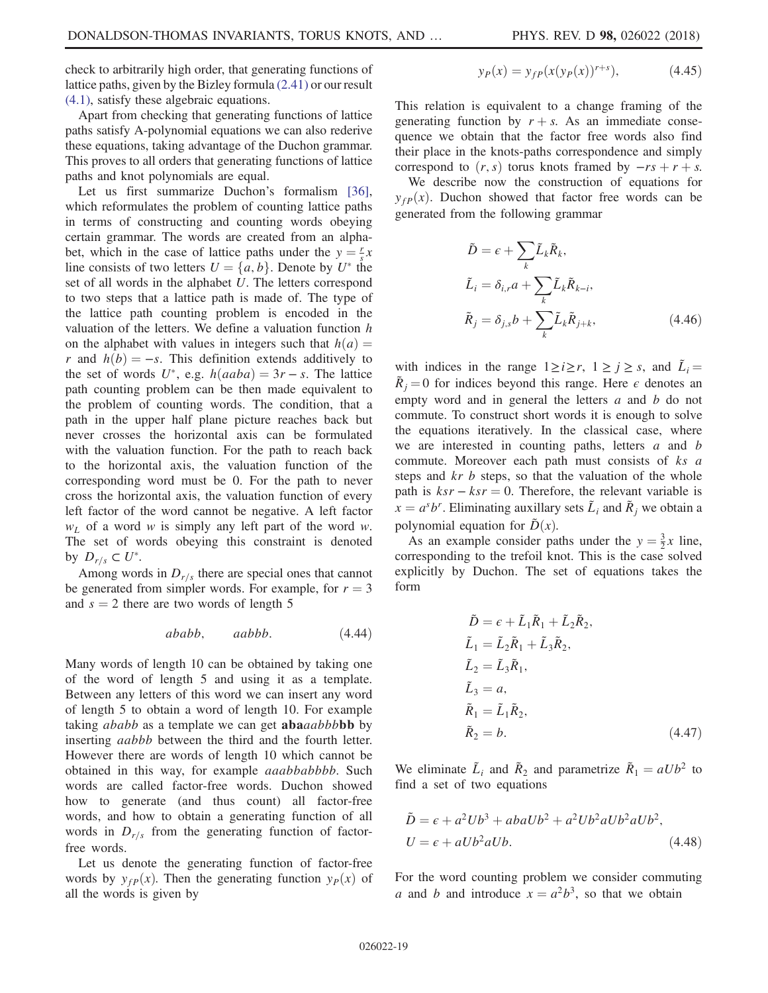check to arbitrarily high order, that generating functions of lattice paths, given by the Bizley formula [\(2.41\)](#page-6-6) or our result [\(4.1\),](#page-10-2) satisfy these algebraic equations.

Apart from checking that generating functions of lattice paths satisfy A-polynomial equations we can also rederive these equations, taking advantage of the Duchon grammar. This proves to all orders that generating functions of lattice paths and knot polynomials are equal.

Let us first summarize Duchon's formalism [\[36\]](#page-27-8), which reformulates the problem of counting lattice paths in terms of constructing and counting words obeying certain grammar. The words are created from an alphabet, which in the case of lattice paths under the  $y = \frac{r}{s}x$ <br>line consists of two letters  $U = \{a, b\}$ . Denote by  $U^*$  the line consists of two letters  $U = \{a, b\}$ . Denote by  $U^*$  the set of all words in the alphabet U. The letters correspond to two steps that a lattice path is made of. The type of the lattice path counting problem is encoded in the valuation of the letters. We define a valuation function  $h$ on the alphabet with values in integers such that  $h(a) =$ r and  $h(b) = -s$ . This definition extends additively to the set of words U<sup>\*</sup>, e.g.  $h(aaba) = 3r - s$ . The lattice path counting problem can be then made equivalent to the problem of counting words. The condition, that a path in the upper half plane picture reaches back but never crosses the horizontal axis can be formulated with the valuation function. For the path to reach back to the horizontal axis, the valuation function of the corresponding word must be 0. For the path to never cross the horizontal axis, the valuation function of every left factor of the word cannot be negative. A left factor  $w<sub>L</sub>$  of a word w is simply any left part of the word w. The set of words obeying this constraint is denoted by  $D_{r/s} \subset U^*$ .

Among words in  $D_{r/s}$  there are special ones that cannot be generated from simpler words. For example, for  $r = 3$ and  $s = 2$  there are two words of length 5

$$
ababb, \qquad aabbb. \tag{4.44}
$$

Many words of length 10 can be obtained by taking one of the word of length 5 and using it as a template. Between any letters of this word we can insert any word of length 5 to obtain a word of length 10. For example taking *ababb* as a template we can get **aba**aabbbbb by inserting aabbb between the third and the fourth letter. However there are words of length 10 which cannot be obtained in this way, for example *aaabbabbbb*. Such words are called factor-free words. Duchon showed how to generate (and thus count) all factor-free words, and how to obtain a generating function of all words in  $D_{r/s}$  from the generating function of factorfree words.

Let us denote the generating function of factor-free words by  $y_{fp}(x)$ . Then the generating function  $y_p(x)$  of all the words is given by

$$
y_P(x) = y_{fP}(x(y_P(x))^{r+s}), \tag{4.45}
$$

This relation is equivalent to a change framing of the generating function by  $r + s$ . As an immediate consequence we obtain that the factor free words also find their place in the knots-paths correspondence and simply correspond to  $(r, s)$  torus knots framed by  $-rs + r + s$ .

We describe now the construction of equations for  $y_{fP}(x)$ . Duchon showed that factor free words can be generated from the following grammar

$$
\tilde{D} = \epsilon + \sum_{k} \tilde{L}_{k} \tilde{R}_{k},
$$
\n
$$
\tilde{L}_{i} = \delta_{i,r} a + \sum_{k} \tilde{L}_{k} \tilde{R}_{k-i},
$$
\n
$$
\tilde{R}_{j} = \delta_{j,s} b + \sum_{k} \tilde{L}_{k} \tilde{R}_{j+k},
$$
\n(4.46)

with indices in the range  $1 \ge i \ge r$ ,  $1 \ge j \ge s$ , and  $\tilde{L}_i =$  $R_i = 0$  for indices beyond this range. Here  $\epsilon$  denotes an empty word and in general the letters a and b do not commute. To construct short words it is enough to solve the equations iteratively. In the classical case, where we are interested in counting paths, letters  $a$  and  $b$ commute. Moreover each path must consists of ks a steps and  $kr$  b steps, so that the valuation of the whole path is  $ksr - ksr = 0$ . Therefore, the relevant variable is  $x = a<sup>s</sup>b<sup>r</sup>$ . Eliminating auxillary sets  $L<sub>i</sub>$  and  $R<sub>j</sub>$  we obtain a polynomial equation for  $\tilde{D}(x)$ .

As an example consider paths under the  $y = \frac{3}{2}x$  line,<br>responding to the trefoil knot. This is the case solved corresponding to the trefoil knot. This is the case solved explicitly by Duchon. The set of equations takes the form

$$
\tilde{D} = \epsilon + \tilde{L}_1 \tilde{R}_1 + \tilde{L}_2 \tilde{R}_2,
$$
\n
$$
\tilde{L}_1 = \tilde{L}_2 \tilde{R}_1 + \tilde{L}_3 \tilde{R}_2,
$$
\n
$$
\tilde{L}_2 = \tilde{L}_3 \tilde{R}_1,
$$
\n
$$
\tilde{L}_3 = a,
$$
\n
$$
\tilde{R}_1 = \tilde{L}_1 \tilde{R}_2,
$$
\n
$$
\tilde{R}_2 = b.
$$
\n(4.47)

We eliminate  $\tilde{L}_i$  and  $\tilde{R}_2$  and parametrize  $\tilde{R}_1 = aUb^2$  to find a set of two equations

$$
\tilde{D} = \epsilon + a^2 Ub^3 + abaUb^2 + a^2Ub^2aUb^2ab^2,
$$
  

$$
U = \epsilon + aUb^2aUb.
$$
 (4.48)

For the word counting problem we consider commuting a and b and introduce  $x = a^2b^3$ , so that we obtain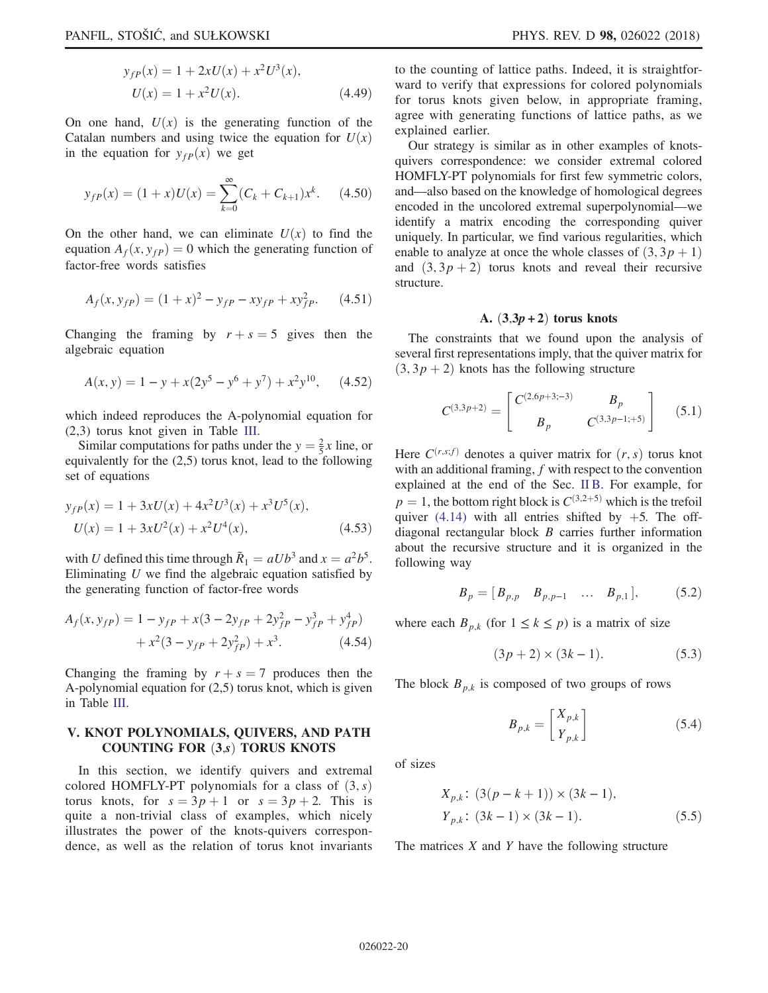$$
y_{fP}(x) = 1 + 2xU(x) + x^2U^3(x),
$$
  
 
$$
U(x) = 1 + x^2U(x).
$$
 (4.49)

On one hand,  $U(x)$  is the generating function of the Catalan numbers and using twice the equation for  $U(x)$ in the equation for  $y_{fp}(x)$  we get

$$
y_{fP}(x) = (1+x)U(x) = \sum_{k=0}^{\infty} (C_k + C_{k+1})x^k.
$$
 (4.50)

On the other hand, we can eliminate  $U(x)$  to find the equation  $A_f(x, y_{fp}) = 0$  which the generating function of factor-free words satisfies

$$
A_f(x, y_{fp}) = (1+x)^2 - y_{fp} - xy_{fp} + xy_{fp}^2.
$$
 (4.51)

Changing the framing by  $r + s = 5$  gives then the algebraic equation

$$
A(x, y) = 1 - y + x(2y^5 - y^6 + y^7) + x^2y^{10}, \quad (4.52)
$$

which indeed reproduces the A-polynomial equation for (2,3) torus knot given in Table [III.](#page-17-2)

Similar computations for paths under the  $y = \frac{2}{5}x$  line, or<br>uivalently for the (2.5) torus knot, lead to the following equivalently for the (2,5) torus knot, lead to the following set of equations

$$
y_{fP}(x) = 1 + 3xU(x) + 4x^{2}U^{3}(x) + x^{3}U^{5}(x),
$$
  
\n
$$
U(x) = 1 + 3xU^{2}(x) + x^{2}U^{4}(x),
$$
\n(4.53)

with U defined this time through  $\tilde{R}_1 = aUb^3$  and  $x = a^2b^5$ . Eliminating  $U$  we find the algebraic equation satisfied by the generating function of factor-free words

$$
A_f(x, y_{fp}) = 1 - y_{fp} + x(3 - 2y_{fp} + 2y_{fp}^2 - y_{fp}^3 + y_{fp}^4) + x^2(3 - y_{fp} + 2y_{fp}^2) + x^3.
$$
 (4.54)

Changing the framing by  $r + s = 7$  produces then the A-polynomial equation for (2,5) torus knot, which is given in Table [III](#page-17-2).

# <span id="page-19-0"></span>V. KNOT POLYNOMIALS, QUIVERS, AND PATH COUNTING FOR  $(3,s)$  TORUS KNOTS

In this section, we identify quivers and extremal colored HOMFLY-PT polynomials for a class of  $(3, s)$ torus knots, for  $s = 3p + 1$  or  $s = 3p + 2$ . This is quite a non-trivial class of examples, which nicely illustrates the power of the knots-quivers correspondence, as well as the relation of torus knot invariants to the counting of lattice paths. Indeed, it is straightforward to verify that expressions for colored polynomials for torus knots given below, in appropriate framing, agree with generating functions of lattice paths, as we explained earlier.

Our strategy is similar as in other examples of knotsquivers correspondence: we consider extremal colored HOMFLY-PT polynomials for first few symmetric colors, and—also based on the knowledge of homological degrees encoded in the uncolored extremal superpolynomial—we identify a matrix encoding the corresponding quiver uniquely. In particular, we find various regularities, which enable to analyze at once the whole classes of  $(3, 3p + 1)$ and  $(3, 3p + 2)$  torus knots and reveal their recursive structure.

## A.  $(3,3p+2)$  torus knots

The constraints that we found upon the analysis of several first representations imply, that the quiver matrix for  $(3, 3p + 2)$  knots has the following structure

$$
C^{(3,3p+2)} = \begin{bmatrix} C^{(2,6p+3;-3)} & B_p \\ B_p & C^{(3,3p-1;+5)} \end{bmatrix}
$$
 (5.1)

Here  $C^{(r,s,f)}$  denotes a quiver matrix for  $(r, s)$  torus knot with an additional framing,  $f$  with respect to the convention explained at the end of the Sec. [II B.](#page-3-4) For example, for  $p = 1$ , the bottom right block is  $C^{(3,2+5)}$  which is the trefoil quiver [\(4.14\)](#page-12-1) with all entries shifted by  $+5$ . The offdiagonal rectangular block B carries further information about the recursive structure and it is organized in the following way

$$
B_p = [B_{p,p} \quad B_{p,p-1} \quad \dots \quad B_{p,1}], \tag{5.2}
$$

where each  $B_{p,k}$  (for  $1 \leq k \leq p$ ) is a matrix of size

$$
(3p+2) \times (3k-1). \tag{5.3}
$$

The block  $B_{p,k}$  is composed of two groups of rows

$$
B_{p,k} = \begin{bmatrix} X_{p,k} \\ Y_{p,k} \end{bmatrix} \tag{5.4}
$$

of sizes

$$
X_{p,k}: (3(p-k+1)) \times (3k-1),
$$
  
\n
$$
Y_{p,k}: (3k-1) \times (3k-1).
$$
 (5.5)

The matrices  $X$  and  $Y$  have the following structure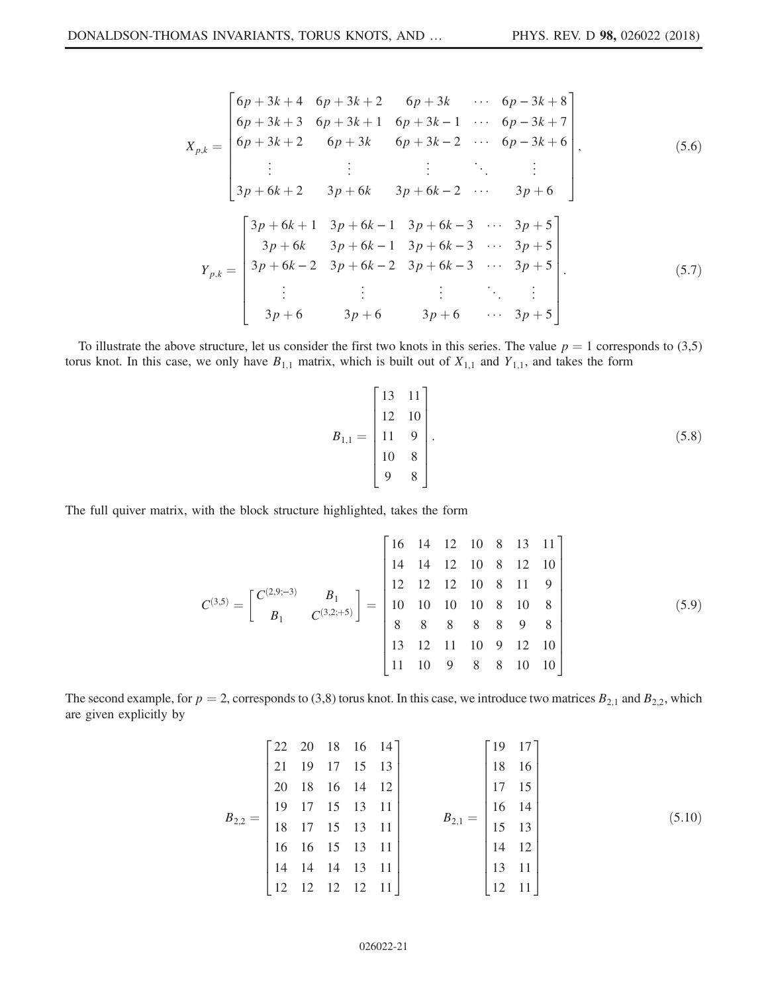$$
X_{p,k} = \begin{bmatrix} 6p + 3k + 4 & 6p + 3k + 2 & 6p + 3k & \cdots & 6p - 3k + 8 \\ 6p + 3k + 3 & 6p + 3k + 1 & 6p + 3k - 1 & \cdots & 6p - 3k + 7 \\ 6p + 3k + 2 & 6p + 3k & 6p + 3k - 2 & \cdots & 6p - 3k + 6 \\ \vdots & \vdots & \vdots & \ddots & \vdots \\ 3p + 6k + 2 & 3p + 6k & 3p + 6k - 2 & \cdots & 3p + 6 \end{bmatrix},
$$
(5.6)  

$$
Y_{p,k} = \begin{bmatrix} 3p + 6k + 1 & 3p + 6k - 1 & 3p + 6k - 3 & \cdots & 3p + 5 \\ 3p + 6k & 3p + 6k - 1 & 3p + 6k - 3 & \cdots & 3p + 5 \\ 3p + 6k - 2 & 3p + 6k - 2 & 3p + 6k - 3 & \cdots & 3p + 5 \\ \vdots & \vdots & \vdots & \ddots & \vdots \\ 3p + 6 & 3p + 6 & 3p + 6 & \cdots & 3p + 5 \end{bmatrix}.
$$
(5.7)

To illustrate the above structure, let us consider the first two knots in this series. The value  $p = 1$  corresponds to (3,5) torus knot. In this case, we only have  $B_{1,1}$  matrix, which is built out of  $X_{1,1}$  and  $Y_{1,1}$ , and takes the form

$$
B_{1,1} = \begin{bmatrix} 13 & 11 \\ 12 & 10 \\ 11 & 9 \\ 10 & 8 \\ 9 & 8 \end{bmatrix} . \tag{5.8}
$$

The full quiver matrix, with the block structure highlighted, takes the form

$$
C^{(3,5)} = \begin{bmatrix} C^{(2,9;-3)} & B_1 \\ B_1 & C^{(3,2;+5)} \end{bmatrix} = \begin{bmatrix} 16 & 14 & 12 & 10 & 8 & 13 & 11 \\ 14 & 14 & 12 & 10 & 8 & 12 & 10 \\ 12 & 12 & 12 & 10 & 8 & 11 & 9 \\ 10 & 10 & 10 & 10 & 8 & 10 & 8 \\ 8 & 8 & 8 & 8 & 8 & 9 & 8 \\ 13 & 12 & 11 & 10 & 9 & 12 & 10 \\ 11 & 10 & 9 & 8 & 8 & 10 & 10 \end{bmatrix}
$$
(5.9)

The second example, for  $p = 2$ , corresponds to (3,8) torus knot. In this case, we introduce two matrices  $B_{2,1}$  and  $B_{2,2}$ , which are given explicitly by

$$
B_{2,2} = \begin{bmatrix} 22 & 20 & 18 & 16 & 14 \\ 21 & 19 & 17 & 15 & 13 \\ 20 & 18 & 16 & 14 & 12 \\ 19 & 17 & 15 & 13 & 11 \\ 18 & 17 & 15 & 13 & 11 \\ 16 & 16 & 15 & 13 & 11 \\ 14 & 14 & 14 & 13 & 11 \\ 12 & 12 & 12 & 12 & 11 \end{bmatrix} \qquad B_{2,1} = \begin{bmatrix} 19 & 17 \\ 18 & 16 \\ 17 & 15 \\ 16 & 14 \\ 15 & 13 \\ 14 & 12 \\ 13 & 11 \\ 12 & 11 \end{bmatrix}
$$
(5.10)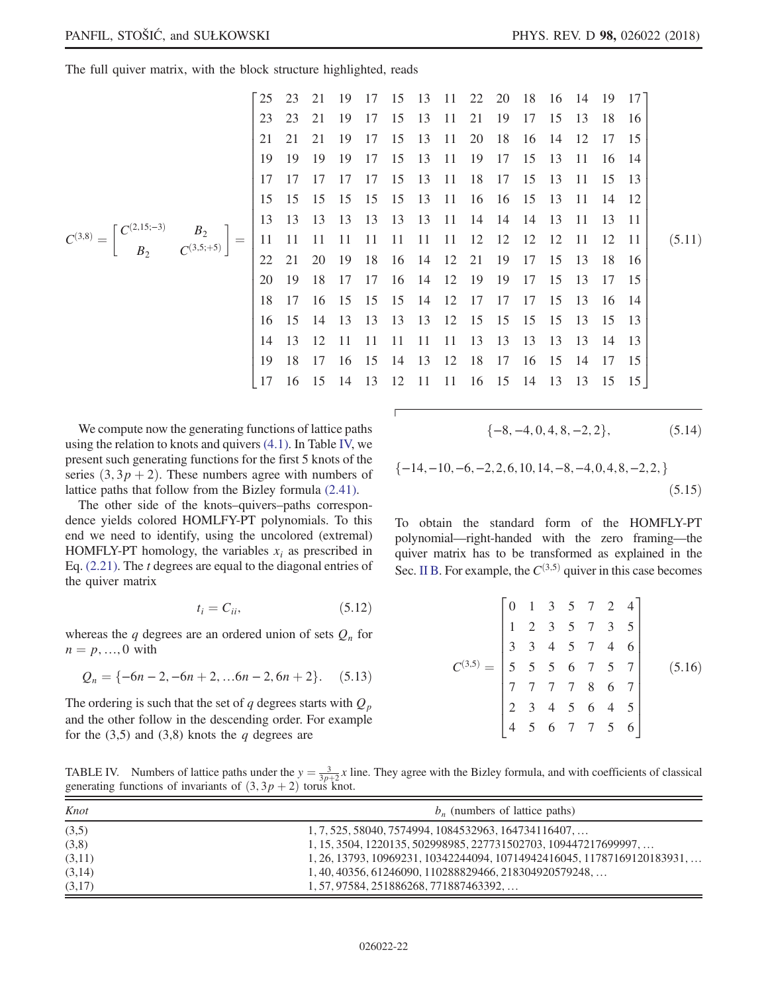The full quiver matrix, with the block structure highlighted, reads

<sup>C</sup>ð3;8<sup>Þ</sup> ¼ Cð2;15;−3<sup>Þ</sup> B<sup>2</sup> B<sup>2</sup> Cð3;5;þ5<sup>Þ</sup> 25 23 21 19 17 15 13 11 22 20 18 16 14 19 17 23 23 21 19 17 15 13 11 21 19 17 15 13 18 16 21 21 21 19 17 15 13 11 20 18 16 14 12 17 15 19 19 19 19 17 15 13 11 19 17 15 13 11 16 14 17 17 17 17 17 15 13 11 18 17 15 13 11 15 13 15 15 15 15 15 15 13 11 16 16 15 13 11 14 12 13 13 13 13 13 13 13 11 14 14 14 13 11 13 11 11 11 11 11 11 11 11 11 12 12 12 12 11 12 11 22 21 20 19 18 16 14 12 21 19 17 15 13 18 16 20 19 18 17 17 16 14 12 19 19 17 15 13 17 15 18 17 16 15 15 15 14 12 17 17 17 15 13 16 14 16 15 14 13 13 13 13 12 15 15 15 15 13 15 13 14 13 12 11 11 11 11 11 13 13 13 13 13 14 13 19 18 17 16 15 14 13 12 18 17 16 15 14 17 15 17 16 15 14 13 12 11 11 16 15 14 13 13 15 15 ð5:11Þ

We compute now the generating functions of lattice paths using the relation to knots and quivers [\(4.1\).](#page-10-2) In Table [IV,](#page-21-0) we present such generating functions for the first 5 knots of the series  $(3, 3p + 2)$ . These numbers agree with numbers of lattice paths that follow from the Bizley formula [\(2.41\)](#page-6-6).

The other side of the knots–quivers–paths correspondence yields colored HOMLFY-PT polynomials. To this end we need to identify, using the uncolored (extremal) HOMFLY-PT homology, the variables  $x_i$  as prescribed in Eq.  $(2.21)$ . The *t* degrees are equal to the diagonal entries of the quiver matrix

$$
t_i = C_{ii},\tag{5.12}
$$

<span id="page-21-1"></span>whereas the q degrees are an ordered union of sets  $Q_n$  for  $n = p, ..., 0$  with

$$
Q_n = \{-6n - 2, -6n + 2, \dots 6n - 2, 6n + 2\}. \tag{5.13}
$$

The ordering is such that the set of q degrees starts with  $Q_p$ and the other follow in the descending order. For example for the  $(3,5)$  and  $(3,8)$  knots the q degrees are

$$
\{-8, -4, 0, 4, 8, -2, 2\},\tag{5.14}
$$

$$
\{-14, -10, -6, -2, 2, 6, 10, 14, -8, -4, 0, 4, 8, -2, 2, \}
$$
\n
$$
(5.15)
$$

To obtain the standard form of the HOMFLY-PT polynomial—right-handed with the zero framing—the quiver matrix has to be transformed as explained in the Sec. [II B](#page-3-4). For example, the  $C^{(3,5)}$  quiver in this case becomes

$$
C^{(3,5)} = \begin{bmatrix} 0 & 1 & 3 & 5 & 7 & 2 & 4 \\ 1 & 2 & 3 & 5 & 7 & 3 & 5 \\ 3 & 3 & 4 & 5 & 7 & 4 & 6 \\ 5 & 5 & 5 & 6 & 7 & 5 & 7 \\ 7 & 7 & 7 & 7 & 8 & 6 & 7 \\ 2 & 3 & 4 & 5 & 6 & 4 & 5 \\ 4 & 5 & 6 & 7 & 7 & 5 & 6 \end{bmatrix}
$$
(5.16)

<span id="page-21-0"></span>TABLE IV. Numbers of lattice paths under the  $y = \frac{3}{3p+2}x$  line. They agree with the Bizley formula, and with coefficients of classical generating functions of invariants of (3.3  $n + 2$ ) torus knot generating functions of invariants of  $(3, 3p + 2)$  torus knot.

| Knot   | $b_n$ (numbers of lattice paths)                                                 |
|--------|----------------------------------------------------------------------------------|
| (3,5)  | $1, 7, 525, 58040, 7574994, 1084532963, 164734116407, \ldots$                    |
| (3,8)  | $1, 15, 3504, 1220135, 502998985, 227731502703, 109447217699997, \ldots$         |
| (3,11) | $1, 26, 13793, 10969231, 10342244094, 10714942416045, 11787169120183931, \ldots$ |
| (3,14) | 1, 40, 40356, 61246090, 110288829466, 218304920579248,                           |
| (3,17) | $1, 57, 97584, 251886268, 771887463392, \ldots$                                  |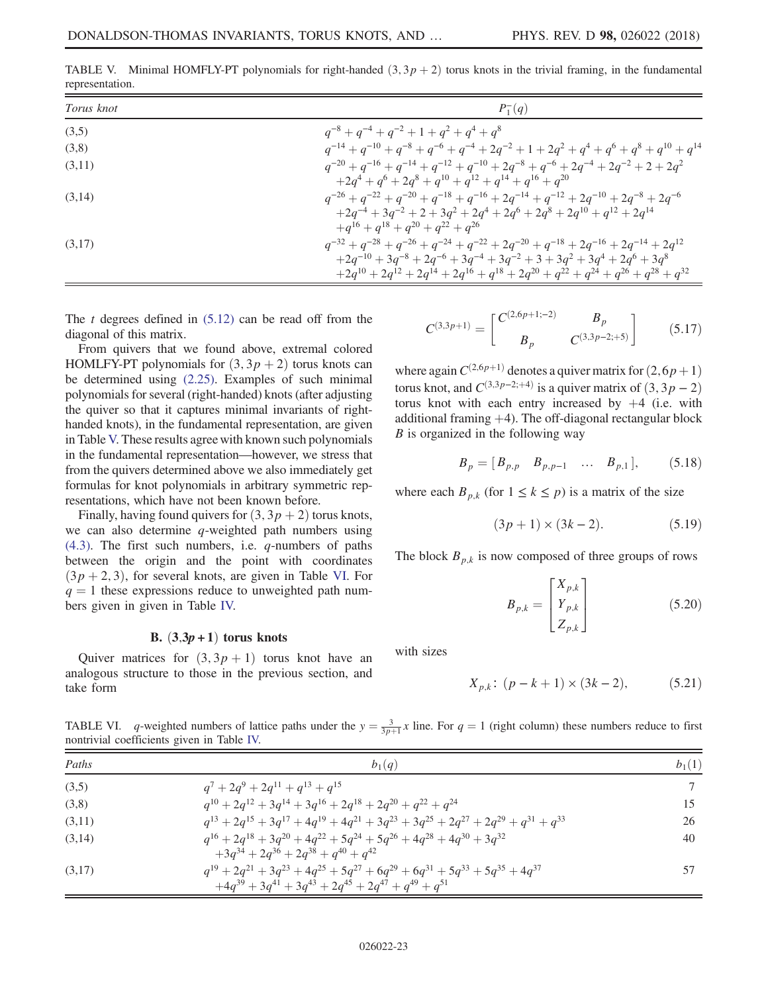| $P_1^-(q)$                                                                                                      |
|-----------------------------------------------------------------------------------------------------------------|
|                                                                                                                 |
| $q^{-14} + q^{-10} + q^{-8} + q^{-6} + q^{-4} + 2q^{-2} + 1 + 2q^{2} + q^{4} + q^{6} + q^{8} + q^{10} + q^{14}$ |
| $q^{-20} + q^{-16} + q^{-14} + q^{-12} + q^{-10} + 2q^{-8} + q^{-6} + 2q^{-4} + 2q^{-2} + 2 + 2q^{2}$           |
| $+2q^4+q^6+2q^8+q^{10}+q^{12}+q^{14}+q^{16}+q^{20}$                                                             |
| $q^{-26} + q^{-22} + q^{-20} + q^{-18} + q^{-16} + 2q^{-14} + q^{-12} + 2q^{-10} + 2q^{-8} + 2q^{-6}$           |
| $+2q^{-4} + 3q^{-2} + 2 + 3q^{2} + 2q^{4} + 2q^{6} + 2q^{8} + 2q^{10} + q^{12} + 2q^{14}$                       |
|                                                                                                                 |
| $q^{-32} + q^{-28} + q^{-26} + q^{-24} + q^{-22} + 2q^{-20} + q^{-18} + 2q^{-16} + 2q^{-14} + 2q^{12}$          |
| $+2q^{-10} + 3q^{-8} + 2q^{-6} + 3q^{-4} + 3q^{-2} + 3 + 3q^{2} + 3q^{4} + 2q^{6} + 3q^{8}$                     |
| $+2q^{10} + 2q^{12} + 2q^{14} + 2q^{16} + q^{18} + 2q^{20} + q^{22} + q^{24} + q^{26} + q^{28} + q^{32}$        |
|                                                                                                                 |

<span id="page-22-0"></span>TABLE V. Minimal HOMFLY-PT polynomials for right-handed  $(3, 3p + 2)$  torus knots in the trivial framing, in the fundamental representation.

The t degrees defined in  $(5.12)$  can be read off from the diagonal of this matrix.

From quivers that we found above, extremal colored HOMLFY-PT polynomials for  $(3, 3p + 2)$  torus knots can be determined using [\(2.25\).](#page-4-4) Examples of such minimal polynomials for several (right-handed) knots (after adjusting the quiver so that it captures minimal invariants of righthanded knots), in the fundamental representation, are given in Table [V.](#page-22-0) These results agree with known such polynomials in the fundamental representation—however, we stress that from the quivers determined above we also immediately get formulas for knot polynomials in arbitrary symmetric representations, which have not been known before.

Finally, having found quivers for  $(3, 3p + 2)$  torus knots, we can also determine  $q$ -weighted path numbers using  $(4.3)$ . The first such numbers, i.e. *q*-numbers of paths between the origin and the point with coordinates  $(3p + 2, 3)$ , for several knots, are given in Table [VI](#page-22-1). For  $q = 1$  these expressions reduce to unweighted path numbers given in given in Table [IV.](#page-21-0)

#### B.  $(3,3p+1)$  torus knots

Quiver matrices for  $(3, 3p + 1)$  torus knot have an analogous structure to those in the previous section, and take form

 $C^{(3,3p+1)} =$  $\int C^{(2,6p+1;-2)}$  B<sub>p</sub>  $B_p$   $C^{(3,3p-2;+5)}$ 1  $(5.17)$ 

where again  $C^{(2,6p+1)}$  denotes a quiver matrix for  $(2,6p+1)$ torus knot, and  $C^{(3,3p-2;+4)}$  is a quiver matrix of  $(3, 3p - 2)$ torus knot with each entry increased by  $+4$  (i.e. with additional framing  $+4$ ). The off-diagonal rectangular block  $B$  is organized in the following way

$$
B_p = [B_{p,p} \quad B_{p,p-1} \quad \dots \quad B_{p,1}], \quad (5.18)
$$

where each  $B_{p,k}$  (for  $1 \leq k \leq p$ ) is a matrix of the size

$$
(3p+1) \times (3k-2). \tag{5.19}
$$

The block  $B_{p,k}$  is now composed of three groups of rows

$$
B_{p,k} = \begin{bmatrix} X_{p,k} \\ Y_{p,k} \\ Z_{p,k} \end{bmatrix}
$$
 (5.20)

with sizes

$$
X_{p,k}: (p-k+1) \times (3k-2), \tag{5.21}
$$

<span id="page-22-1"></span>TABLE VI. q-weighted numbers of lattice paths under the  $y = \frac{3}{3p+1}x$  line. For  $q = 1$  (right column) these numbers reduce to first nontrivial coefficients given in Table IV nontrivial coefficients given in Table [IV.](#page-21-0)

| Paths  | $b_1(q)$                                                                                                                                                                   | $b_1(1)$ |
|--------|----------------------------------------------------------------------------------------------------------------------------------------------------------------------------|----------|
| (3,5)  | $q^7 + 2q^9 + 2q^{11} + q^{13} + q^{15}$                                                                                                                                   |          |
| (3,8)  | $q^{10} + 2q^{12} + 3q^{14} + 3q^{16} + 2q^{18} + 2q^{20} + q^{22} + q^{24}$                                                                                               | 15       |
| (3,11) | $q^{13} + 2q^{15} + 3q^{17} + 4q^{19} + 4q^{21} + 3q^{23} + 3q^{25} + 2q^{27} + 2q^{29} + q^{31} + q^{33}$                                                                 | 26       |
| (3,14) | $q^{16} + 2q^{18} + 3q^{20} + 4q^{22} + 5q^{24} + 5q^{26} + 4q^{28} + 4q^{30} + 3q^{32}$<br>$+3q^{34} + 2q^{36} + 2q^{38} + q^{40} + q^{42}$                               | 40       |
| (3,17) | $q^{19} + 2q^{21} + 3q^{23} + 4q^{25} + 5q^{27} + 6q^{29} + 6q^{31} + 5q^{33} + 5q^{35} + 4q^{37}$<br>$+4q^{39} + 3q^{41} + 3q^{43} + 2q^{45} + 2q^{47} + q^{49} + q^{51}$ |          |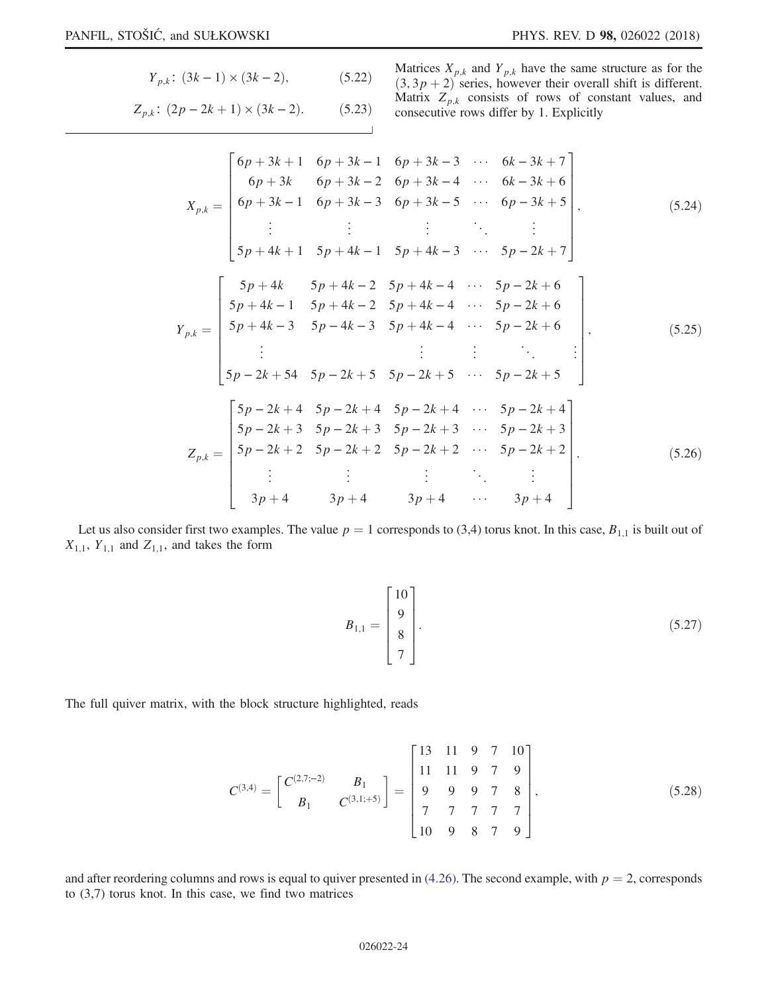$$
Y_{p,k}: (3k-1) \times (3k-2), \tag{5.22}
$$

 $Z_{p,k}$ :  $(2p - 2k + 1) \times (3k - 2)$ . (5.23)

Matrices 
$$
X_{p,k}
$$
 and  $Y_{p,k}$  have the same structure as for the (3, 3*p* + 2) series, however their overall shift is different.  
Matrix  $Z_{p,k}$  consists of rows of constant values, and consecutive rows differ by 1. Explicitly

$$
X_{p,k} = \begin{bmatrix} 6p+3k+1 & 6p+3k-1 & 6p+3k-3 & \cdots & 6k-3k+7 \\ 6p+3k & 6p+3k-2 & 6p+3k-4 & \cdots & 6k-3k+6 \\ 6p+3k-1 & 6p+3k-3 & 6p+3k-5 & \cdots & 6p-3k+5 \\ \vdots & \vdots & \vdots & \ddots & \vdots \\ 5p+4k+1 & 5p+4k-1 & 5p+4k-3 & \cdots & 5p-2k+7 \end{bmatrix},
$$
(5.24)  

$$
Y_{p,k} = \begin{bmatrix} 5p+4k & 5p+4k-2 & 5p+4k-4 & \cdots & 5p-2k+6 \\ 5p+4k-3 & 5p-4k-3 & 5p+4k-4 & \cdots & 5p-2k+6 \\ \vdots & \vdots & \vdots & \ddots & \vdots \\ 5p-2k+54 & 5p-2k+5 & 5p-2k+5 & \cdots & 5p-2k+5 \\ \vdots & \vdots & \vdots & \ddots & \vdots \\ 5p-2k+3 & 5p-2k+4 & 5p-2k+4 & \cdots & 5p-2k+4 \\ 5p-2k+3 & 5p-2k+3 & 5p-2k+3 & \cdots & 5p-2k+3 \\ 5p-2k+2 & 5p-2k+2 & 5p-2k+2 & \cdots & 5p-2k+2 \\ \vdots & \vdots & \vdots & \ddots & \vdots \\ 3p+4 & 3p+4 & 3p+4 & \cdots & 3p+4 \end{bmatrix}.
$$
(5.26)

Let us also consider first two examples. The value  $p = 1$  corresponds to (3,4) torus knot. In this case,  $B_{1,1}$  is built out of  $X_{1,1}$ ,  $Y_{1,1}$  and  $Z_{1,1}$ , and takes the form

$$
B_{1,1} = \begin{bmatrix} 10 \\ 9 \\ 8 \\ 7 \end{bmatrix} . \tag{5.27}
$$

The full quiver matrix, with the block structure highlighted, reads

$$
C^{(3,4)} = \begin{bmatrix} C^{(2,7;-2)} & B_1 \\ B_1 & C^{(3,1;+5)} \end{bmatrix} = \begin{bmatrix} 13 & 11 & 9 & 7 & 10 \\ 11 & 11 & 9 & 7 & 9 \\ 9 & 9 & 9 & 7 & 8 \\ 7 & 7 & 7 & 7 & 7 \\ 10 & 9 & 8 & 7 & 9 \end{bmatrix},
$$
(5.28)

and after reordering columns and rows is equal to quiver presented in  $(4.26)$ . The second example, with  $p = 2$ , corresponds to (3,7) torus knot. In this case, we find two matrices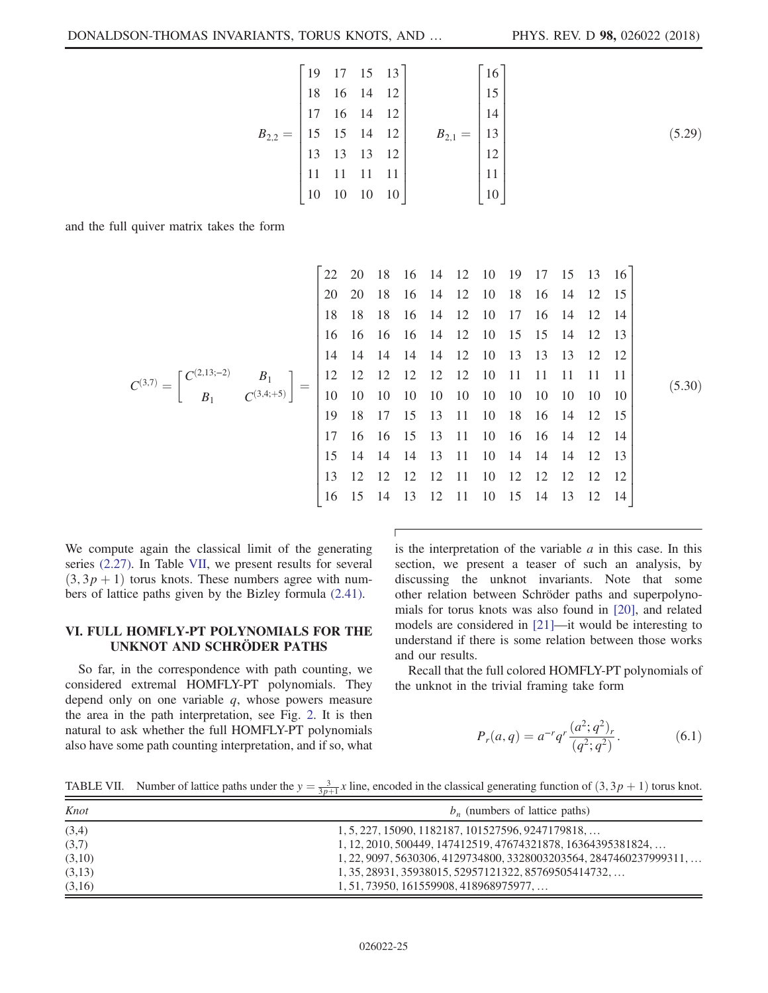$$
B_{2,2} = \begin{bmatrix} 19 & 17 & 15 & 13 \\ 18 & 16 & 14 & 12 \\ 17 & 16 & 14 & 12 \\ 15 & 15 & 14 & 12 \\ 13 & 13 & 13 & 12 \\ 11 & 11 & 11 & 11 \\ 10 & 10 & 10 & 10 \end{bmatrix} \qquad B_{2,1} = \begin{bmatrix} 16 \\ 15 \\ 14 \\ 13 \\ 12 \\ 11 \\ 11 \\ 10 \end{bmatrix}
$$
 (5.29)

and the full quiver matrix takes the form

<sup>C</sup>ð3;7<sup>Þ</sup> ¼ Cð2;13;−2<sup>Þ</sup> B<sup>1</sup> B<sup>1</sup> Cð3;4;þ5<sup>Þ</sup> 22 20 18 16 14 12 10 19 17 15 13 16 20 20 18 16 14 12 10 18 16 14 12 15 18 18 18 16 14 12 10 17 16 14 12 14 16 16 16 16 14 12 10 15 15 14 12 13 14 14 14 14 14 12 10 13 13 13 12 12 12 12 12 12 12 12 10 11 11 11 11 11 10 10 10 10 10 10 10 10 10 10 10 10 19 18 17 15 13 11 10 18 16 14 12 15 17 16 16 15 13 11 10 16 16 14 12 14 15 14 14 14 13 11 10 14 14 14 12 13 13 12 12 12 12 11 10 12 12 12 12 12 16 15 14 13 12 11 10 15 14 13 12 14 ð5:30Þ

We compute again the classical limit of the generating series [\(2.27\).](#page-4-2) In Table [VII,](#page-24-1) we present results for several  $(3, 3p + 1)$  torus knots. These numbers agree with numbers of lattice paths given by the Bizley formula [\(2.41\).](#page-6-6)

## <span id="page-24-0"></span>VI. FULL HOMFLY-PT POLYNOMIALS FOR THE UNKNOT AND SCHRÖDER PATHS

So far, in the correspondence with path counting, we considered extremal HOMFLY-PT polynomials. They depend only on one variable  $q$ , whose powers measure the area in the path interpretation, see Fig. [2.](#page-6-0) It is then natural to ask whether the full HOMFLY-PT polynomials also have some path counting interpretation, and if so, what is the interpretation of the variable  $a$  in this case. In this section, we present a teaser of such an analysis, by discussing the unknot invariants. Note that some other relation between Schröder paths and superpolynomials for torus knots was also found in [\[20\]](#page-26-9), and related models are considered in [\[21\]](#page-27-0)—it would be interesting to understand if there is some relation between those works and our results.

<span id="page-24-2"></span>Recall that the full colored HOMFLY-PT polynomials of the unknot in the trivial framing take form

$$
P_r(a,q) = a^{-r} q^r \frac{(a^2;q^2)_r}{(q^2;q^2)}.
$$
 (6.1)

<span id="page-24-1"></span>TABLE VII. Number of lattice paths under the  $y = \frac{3}{3p+1}x$  line, encoded in the classical generating function of  $(3, 3p + 1)$  torus knot.

| Knot   | $b_n$ (numbers of lattice paths)                                            |
|--------|-----------------------------------------------------------------------------|
| (3,4)  | $1, 5, 227, 15090, 1182187, 101527596, 9247179818, \ldots$                  |
| (3,7)  | 1, 12, 2010, 500449, 147412519, 47674321878, 16364395381824,                |
| (3,10) | $1, 22, 9097, 5630306, 4129734800, 3328003203564, 2847460237999311, \ldots$ |
| (3,13) | 1, 35, 28931, 35938015, 52957121322, 85769505414732,                        |
| (3,16) | $1, 51, 73950, 161559908, 418968975977, \ldots$                             |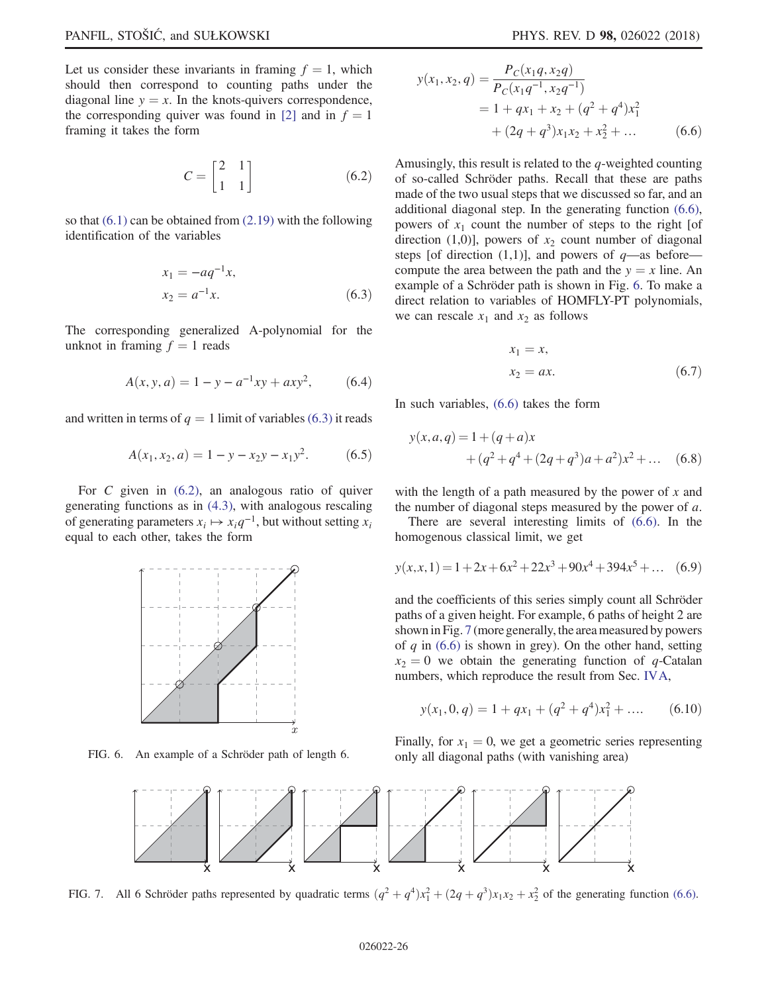<span id="page-25-1"></span>Let us consider these invariants in framing  $f = 1$ , which should then correspond to counting paths under the diagonal line  $y = x$ . In the knots-quivers correspondence, the corresponding quiver was found in [\[2\]](#page-26-12) and in  $f = 1$ framing it takes the form

$$
C = \begin{bmatrix} 2 & 1 \\ 1 & 1 \end{bmatrix} \tag{6.2}
$$

<span id="page-25-0"></span>so that  $(6.1)$  can be obtained from  $(2.19)$  with the following identification of the variables

$$
x_1 = -aq^{-1}x,
$$
  
\n
$$
x_2 = a^{-1}x.
$$
\n(6.3)

<span id="page-25-6"></span><span id="page-25-5"></span>The corresponding generalized A-polynomial for the unknot in framing  $f = 1$  reads

$$
A(x, y, a) = 1 - y - a^{-1}xy + axy^{2}, \qquad (6.4)
$$

and written in terms of  $q = 1$  limit of variables [\(6.3\)](#page-25-0) it reads

$$
A(x_1, x_2, a) = 1 - y - x_2y - x_1y^2.
$$
 (6.5)

<span id="page-25-2"></span>For  $C$  given in  $(6.2)$ , an analogous ratio of quiver generating functions as in [\(4.3\)](#page-11-0), with analogous rescaling of generating parameters  $x_i \mapsto x_i q^{-1}$ , but without setting  $x_i$ equal to each other, takes the form

<span id="page-25-3"></span>

<span id="page-25-4"></span>

$$
y(x_1, x_2, q) = \frac{P_C(x_1q, x_2q)}{P_C(x_1q^{-1}, x_2q^{-1})}
$$
  
= 1 + qx\_1 + x\_2 + (q^2 + q^4)x\_1^2  
+ (2q + q^3)x\_1x\_2 + x\_2^2 + ... \t(6.6)

Amusingly, this result is related to the  $q$ -weighted counting of so-called Schröder paths. Recall that these are paths made of the two usual steps that we discussed so far, and an additional diagonal step. In the generating function [\(6.6\)](#page-25-2), powers of  $x_1$  count the number of steps to the right [of direction (1,0)], powers of  $x_2$  count number of diagonal steps [of direction  $(1,1)$ ], and powers of  $q$ —as before compute the area between the path and the  $y = x$  line. An example of a Schröder path is shown in Fig. [6](#page-25-3). To make a direct relation to variables of HOMFLY-PT polynomials, we can rescale  $x_1$  and  $x_2$  as follows

$$
x_1 = x,
$$
  
\n
$$
x_2 = ax.
$$
\n(6.7)

In such variables, [\(6.6\)](#page-25-2) takes the form

$$
y(x,a,q) = 1 + (q+a)x
$$
  
+ (q<sup>2</sup> + q<sup>4</sup> + (2q+q<sup>3</sup>)a + a<sup>2</sup>)x<sup>2</sup> + ... (6.8)

with the length of a path measured by the power of  $x$  and the number of diagonal steps measured by the power of  $a$ .

There are several interesting limits of [\(6.6\).](#page-25-2) In the homogenous classical limit, we get

$$
y(x, x, 1) = 1 + 2x + 6x^{2} + 22x^{3} + 90x^{4} + 394x^{5} + \dots
$$
 (6.9)

and the coefficients of this series simply count all Schröder paths of a given height. For example, 6 paths of height 2 are shown in Fig. [7](#page-25-4) (more generally, the area measured by powers of  $q$  in [\(6.6\)](#page-25-2) is shown in grey). On the other hand, setting  $x_2 = 0$  we obtain the generating function of q-Catalan numbers, which reproduce the result from Sec. [IVA,](#page-11-1)

$$
y(x_1, 0, q) = 1 + qx_1 + (q^2 + q^4)x_1^2 + \dots
$$
 (6.10)

Finally, for  $x_1 = 0$ , we get a geometric series representing FIG. 6. An example of a Schröder path of length 6. only all diagonal paths (with vanishing area)



FIG. 7. All 6 Schröder paths represented by quadratic terms  $(q^2 + q^4)x_1^2 + (2q + q^3)x_1x_2 + x_2^2$  of the generating function [\(6.6\).](#page-25-2)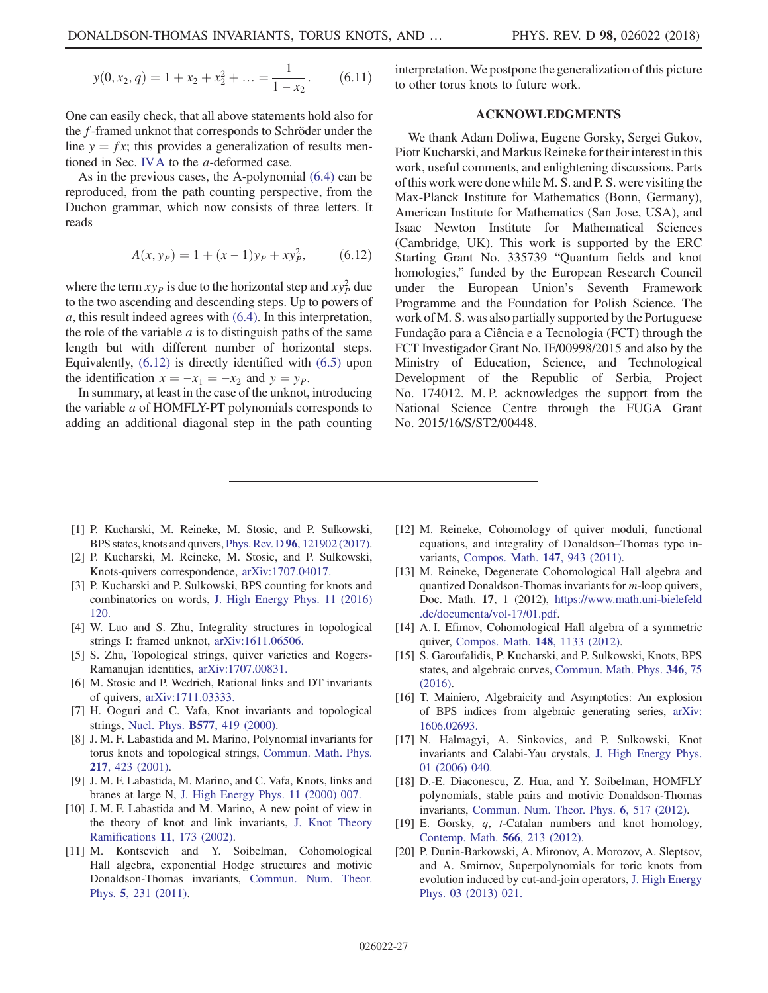$$
y(0, x_2, q) = 1 + x_2 + x_2^2 + \dots = \frac{1}{1 - x_2}.
$$
 (6.11)

One can easily check, that all above statements hold also for the f-framed unknot that corresponds to Schröder under the line  $y = fx$ ; this provides a generalization of results mentioned in Sec. [IVA](#page-11-1) to the a-deformed case.

<span id="page-26-13"></span>As in the previous cases, the A-polynomial [\(6.4\)](#page-25-5) can be reproduced, from the path counting perspective, from the Duchon grammar, which now consists of three letters. It reads

$$
A(x, y_P) = 1 + (x - 1)y_P + xy_P^2, \qquad (6.12)
$$

where the term  $xy_P$  is due to the horizontal step and  $xy_P^2$  due to the two ascending and descending steps. Up to powers of a, this result indeed agrees with [\(6.4\)](#page-25-5). In this interpretation, the role of the variable  $\alpha$  is to distinguish paths of the same length but with different number of horizontal steps. Equivalently, [\(6.12\)](#page-26-13) is directly identified with [\(6.5\)](#page-25-6) upon the identification  $x = -x_1 = -x_2$  and  $y = y_P$ .

In summary, at least in the case of the unknot, introducing the variable a of HOMFLY-PT polynomials corresponds to adding an additional diagonal step in the path counting interpretation. We postpone the generalization of this picture to other torus knots to future work.

## ACKNOWLEDGMENTS

We thank Adam Doliwa, Eugene Gorsky, Sergei Gukov, Piotr Kucharski, and Markus Reineke for their interest in this work, useful comments, and enlightening discussions. Parts of this work were done while M. S. and P. S. were visiting the Max-Planck Institute for Mathematics (Bonn, Germany), American Institute for Mathematics (San Jose, USA), and Isaac Newton Institute for Mathematical Sciences (Cambridge, UK). This work is supported by the ERC Starting Grant No. 335739 "Quantum fields and knot homologies," funded by the European Research Council under the European Union's Seventh Framework Programme and the Foundation for Polish Science. The work of M. S. was also partially supported by the Portuguese Fundação para a Ciência e a Tecnologia (FCT) through the FCT Investigador Grant No. IF/00998/2015 and also by the Ministry of Education, Science, and Technological Development of the Republic of Serbia, Project No. 174012. M. P. acknowledges the support from the National Science Centre through the FUGA Grant No. 2015/16/S/ST2/00448.

- <span id="page-26-0"></span>[1] P. Kucharski, M. Reineke, M. Stosic, and P. Sulkowski, BPS states, knots and quivers, Phys. Rev. D 96[, 121902 \(2017\).](https://doi.org/10.1103/PhysRevD.96.121902)
- <span id="page-26-12"></span>[2] P. Kucharski, M. Reineke, M. Stosic, and P. Sulkowski, Knots-quivers correspondence, [arXiv:1707.04017.](http://arXiv.org/abs/1707.04017)
- <span id="page-26-1"></span>[3] P. Kucharski and P. Sulkowski, BPS counting for knots and combinatorics on words, [J. High Energy Phys. 11 \(2016\)](https://doi.org/10.1007/JHEP11(2016)120) [120.](https://doi.org/10.1007/JHEP11(2016)120)
- [4] W. Luo and S. Zhu, Integrality structures in topological strings I: framed unknot, [arXiv:1611.06506.](http://arXiv.org/abs/1611.06506)
- [5] S. Zhu, Topological strings, quiver varieties and Rogers-Ramanujan identities, [arXiv:1707.00831.](http://arXiv.org/abs/1707.00831)
- <span id="page-26-10"></span>[6] M. Stosic and P. Wedrich, Rational links and DT invariants of quivers, [arXiv:1711.03333.](http://arXiv.org/abs/1711.03333)
- <span id="page-26-2"></span>[7] H. Ooguri and C. Vafa, Knot invariants and topological strings, Nucl. Phys. B577[, 419 \(2000\).](https://doi.org/10.1016/S0550-3213(00)00118-8)
- [8] J. M. F. Labastida and M. Marino, Polynomial invariants for torus knots and topological strings, [Commun. Math. Phys.](https://doi.org/10.1007/s002200100374) 217[, 423 \(2001\)](https://doi.org/10.1007/s002200100374).
- [9] J. M. F. Labastida, M. Marino, and C. Vafa, Knots, links and branes at large N, [J. High Energy Phys. 11 \(2000\) 007.](https://doi.org/10.1088/1126-6708/2000/11/007)
- [10] J. M. F. Labastida and M. Marino, A new point of view in the theory of knot and link invariants, [J. Knot Theory](https://doi.org/10.1142/S0218216502001561) [Ramifications](https://doi.org/10.1142/S0218216502001561) 11, 173 (2002).
- <span id="page-26-3"></span>[11] M. Kontsevich and Y. Soibelman, Cohomological Hall algebra, exponential Hodge structures and motivic Donaldson-Thomas invariants, [Commun. Num. Theor.](https://doi.org/10.4310/CNTP.2011.v5.n2.a1) Phys. 5[, 231 \(2011\)](https://doi.org/10.4310/CNTP.2011.v5.n2.a1).
- [12] M. Reineke, Cohomology of quiver moduli, functional equations, and integrality of Donaldson–Thomas type invariants, [Compos. Math.](https://doi.org/10.1112/S0010437X1000521X) 147, 943 (2011).
- [13] M. Reineke, Degenerate Cohomological Hall algebra and quantized Donaldson-Thomas invariants for m-loop quivers, Doc. Math. 17, 1 (2012), [https://www.math.uni-bielefeld](https://www.math.uni-bielefeld.de/documenta/vol-17/01.pdf) [.de/documenta/vol-17/01.pdf](https://www.math.uni-bielefeld.de/documenta/vol-17/01.pdf).
- <span id="page-26-11"></span>[14] A. I. Efimov, Cohomological Hall algebra of a symmetric quiver, [Compos. Math.](https://doi.org/10.1112/S0010437X12000152) 148, 1133 (2012).
- <span id="page-26-4"></span>[15] S. Garoufalidis, P. Kucharski, and P. Sulkowski, Knots, BPS states, and algebraic curves, [Commun. Math. Phys.](https://doi.org/10.1007/s00220-016-2682-z) 346, 75 [\(2016\).](https://doi.org/10.1007/s00220-016-2682-z)
- <span id="page-26-5"></span>[16] T. Mainiero, Algebraicity and Asymptotics: An explosion of BPS indices from algebraic generating series, [arXiv:](http://arXiv.org/abs/1606.02693) [1606.02693.](http://arXiv.org/abs/1606.02693)
- <span id="page-26-6"></span>[17] N. Halmagyi, A. Sinkovics, and P. Sulkowski, Knot invariants and Calabi-Yau crystals, [J. High Energy Phys.](https://doi.org/10.1088/1126-6708/2006/01/040) [01 \(2006\) 040.](https://doi.org/10.1088/1126-6708/2006/01/040)
- <span id="page-26-7"></span>[18] D.-E. Diaconescu, Z. Hua, and Y. Soibelman, HOMFLY polynomials, stable pairs and motivic Donaldson-Thomas invariants, [Commun. Num. Theor. Phys.](https://doi.org/10.4310/CNTP.2012.v6.n3.a1) 6, 517 (2012).
- <span id="page-26-8"></span>[19] E. Gorsky, q, t-Catalan numbers and knot homology, [Contemp. Math.](https://doi.org/10.1090/conm/566) 566, 213 (2012).
- <span id="page-26-9"></span>[20] P. Dunin-Barkowski, A. Mironov, A. Morozov, A. Sleptsov, and A. Smirnov, Superpolynomials for toric knots from evolution induced by cut-and-join operators, [J. High Energy](https://doi.org/10.1007/JHEP03(2013)021) [Phys. 03 \(2013\) 021.](https://doi.org/10.1007/JHEP03(2013)021)